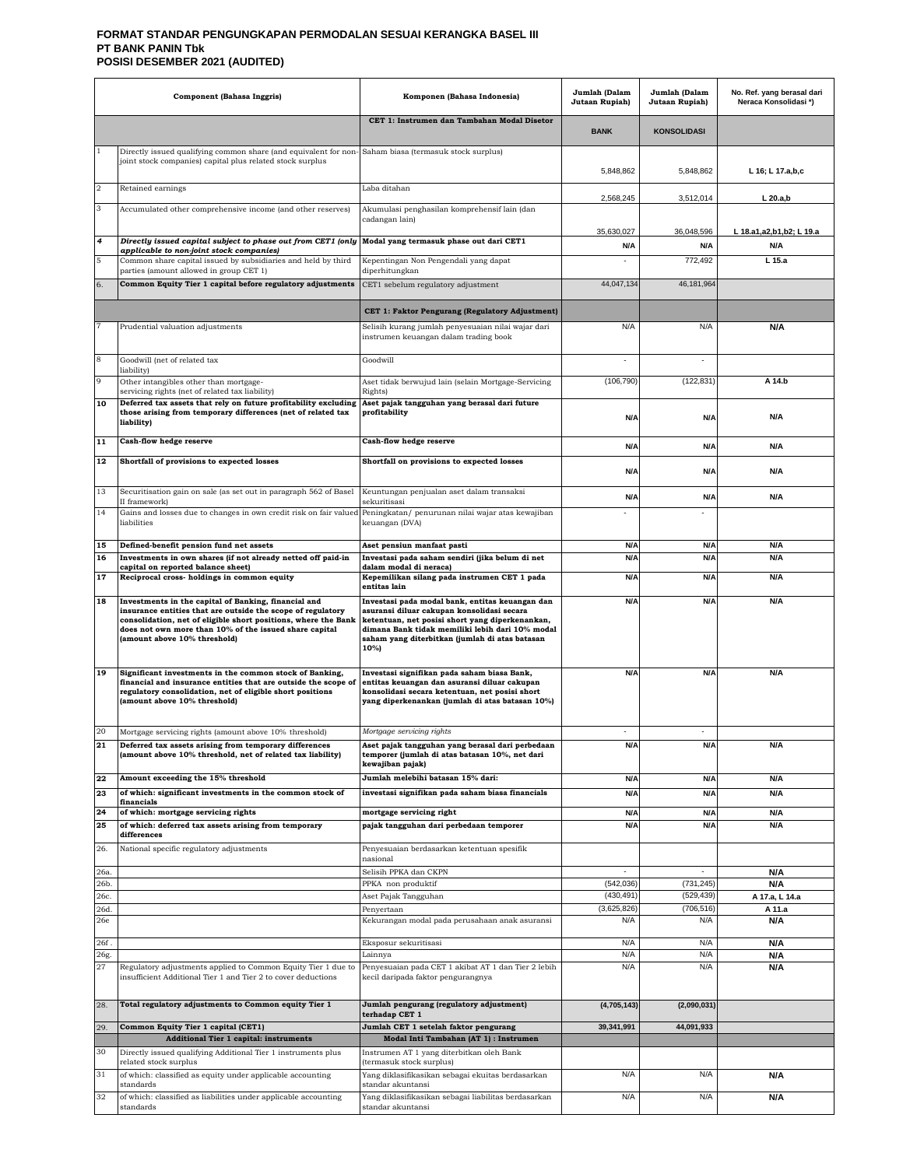#### **FORMAT STANDAR PENGUNGKAPAN PERMODALAN SESUAI KERANGKA BASEL III PT BANK PANIN Tbk POSISI DESEMBER 2021 (AUDITED)**

|              | <b>Component</b> (Bahasa Inggris)                                                                                                                                                                                                                                                | Komponen (Bahasa Indonesia)                                                                                                                                                                                                                                   | Jumlah (Dalam<br>Jutaan Rupiah) | Jumlah (Dalam<br>Jutaan Rupiah) | No. Ref. yang berasal dari<br>Neraca Konsolidasi*) |
|--------------|----------------------------------------------------------------------------------------------------------------------------------------------------------------------------------------------------------------------------------------------------------------------------------|---------------------------------------------------------------------------------------------------------------------------------------------------------------------------------------------------------------------------------------------------------------|---------------------------------|---------------------------------|----------------------------------------------------|
|              |                                                                                                                                                                                                                                                                                  | CET 1: Instrumen dan Tambahan Modal Disetor                                                                                                                                                                                                                   | <b>BANK</b>                     | <b>KONSOLIDASI</b>              |                                                    |
|              | Directly issued qualifying common share (and equivalent for non-<br>joint stock companies) capital plus related stock surplus                                                                                                                                                    | Saham biasa (termasuk stock surplus)                                                                                                                                                                                                                          | 5,848,862                       | 5,848,862                       | L 16; L 17.a,b,c                                   |
| $\,2$        | Retained earnings                                                                                                                                                                                                                                                                | Laba ditahan                                                                                                                                                                                                                                                  | 2,568,245                       | 3,512,014                       | $L$ 20.a,b                                         |
| 3            | Accumulated other comprehensive income (and other reserves)                                                                                                                                                                                                                      | Akumulasi penghasilan komprehensif lain (dan<br>cadangan lain)                                                                                                                                                                                                | 35,630,027                      | 36,048,596                      | L 18.a1,a2,b1,b2; L 19.a                           |
| 4            | Directly issued capital subject to phase out from CET1 (only                                                                                                                                                                                                                     | Modal yang termasuk phase out dari CET1                                                                                                                                                                                                                       | N/A                             | N/A                             | N/A                                                |
| 5            | applicable to non-joint stock companies)<br>Common share capital issued by subsidiaries and held by third                                                                                                                                                                        | Kepentingan Non Pengendali yang dapat                                                                                                                                                                                                                         |                                 | 772,492                         | L <sub>15.a</sub>                                  |
| 6.           | parties (amount allowed in group CET 1)<br>Common Equity Tier 1 capital before regulatory adjustments                                                                                                                                                                            | diperhitungkan<br>CET1 sebelum regulatory adjustment                                                                                                                                                                                                          | 44,047,134                      | 46.181.964                      |                                                    |
|              |                                                                                                                                                                                                                                                                                  |                                                                                                                                                                                                                                                               |                                 |                                 |                                                    |
|              |                                                                                                                                                                                                                                                                                  | CET 1: Faktor Pengurang (Regulatory Adjustment)                                                                                                                                                                                                               |                                 |                                 |                                                    |
|              | Prudential valuation adjustments                                                                                                                                                                                                                                                 | Selisih kurang jumlah penyesuaian nilai wajar dari<br>instrumen keuangan dalam trading book                                                                                                                                                                   | N/A                             | N/A                             | N/A                                                |
| 8            | Goodwill (net of related tax<br>liability)                                                                                                                                                                                                                                       | Goodwill                                                                                                                                                                                                                                                      |                                 |                                 |                                                    |
| 9            | Other intangibles other than mortgage-<br>servicing rights (net of related tax liability)                                                                                                                                                                                        | Aset tidak berwujud lain (selain Mortgage-Servicing                                                                                                                                                                                                           | (106, 790)                      | (122, 831)                      | A 14.b                                             |
| 10           | Deferred tax assets that rely on future profitability excluding<br>those arising from temporary differences (net of related tax<br>liability)                                                                                                                                    | Rights)<br>Aset pajak tangguhan yang berasal dari future<br>profitability                                                                                                                                                                                     | N/A                             | N/A                             | N/A                                                |
| 11           | Cash-flow hedge reserve                                                                                                                                                                                                                                                          | <b>Cash-flow hedge reserve</b>                                                                                                                                                                                                                                | N/A                             | N/A                             | N/A                                                |
| 12           | Shortfall of provisions to expected losses                                                                                                                                                                                                                                       | Shortfall on provisions to expected losses                                                                                                                                                                                                                    |                                 |                                 |                                                    |
|              |                                                                                                                                                                                                                                                                                  |                                                                                                                                                                                                                                                               | <b>N/A</b>                      | N/A                             | N/A                                                |
| 13           | Securitisation gain on sale (as set out in paragraph 562 of Basel<br>II framework)                                                                                                                                                                                               | Keuntungan penjualan aset dalam transaksi<br>sekuritisasi                                                                                                                                                                                                     | <b>N/A</b>                      | <b>N/A</b>                      | N/A                                                |
| 14           | Gains and losses due to changes in own credit risk on fair valued<br>liabilities                                                                                                                                                                                                 | Peningkatan/ penurunan nilai wajar atas kewajiban<br>keuangan (DVA)                                                                                                                                                                                           |                                 |                                 |                                                    |
| 15           | Defined-benefit pension fund net assets                                                                                                                                                                                                                                          | Aset pensiun manfaat pasti                                                                                                                                                                                                                                    | <b>N/A</b>                      | N/A                             | N/A                                                |
| 16           | Investments in own shares (if not already netted off paid-in<br>capital on reported balance sheet)                                                                                                                                                                               | Investasi pada saham sendiri (jika belum di net<br>dalam modal di neraca)                                                                                                                                                                                     | N/A                             | N/A                             | N/A                                                |
| 17           | Reciprocal cross- holdings in common equity                                                                                                                                                                                                                                      | Kepemilikan silang pada instrumen CET 1 pada<br>entitas lain                                                                                                                                                                                                  | N/A                             | N/A                             | N/A                                                |
| 18           | Investments in the capital of Banking, financial and<br>insurance entities that are outside the scope of regulatory<br>consolidation, net of eligible short positions, where the Bank<br>does not own more than 10% of the issued share capital<br>(amount above 10% threshold)  | Investasi pada modal bank, entitas keuangan dan<br>asuransi diluar cakupan konsolidasi secara<br>ketentuan, net posisi short yang diperkenankan,<br>dimana Bank tidak memiliki lebih dari 10% modal<br>saham yang diterbitkan (jumlah di atas batasan<br>10%) | N/A                             | N/A                             | N/A                                                |
| 19<br>20     | Significant investments in the common stock of Banking,<br>financial and insurance entities that are outside the scope of<br>regulatory consolidation, net of eligible short positions<br>(amount above 10% threshold)<br>Mortgage servicing rights (amount above 10% threshold) | Investasi signifikan pada saham biasa Bank,<br>entitas keuangan dan asuransi diluar cakupan<br>konsolidasi secara ketentuan, net posisi short<br>yang diperkenankan (jumlah di atas batasan 10%)<br>Mortgage servicing rights                                 | N/A                             | N/A                             | N/A                                                |
| 21           | Deferred tax assets arising from temporary differences<br>(amount above 10% threshold, net of related tax liability)                                                                                                                                                             | Aset pajak tangguhan yang berasal dari perbedaan<br>temporer (jumlah di atas batasan 10%, net dari<br>kewajiban pajak)                                                                                                                                        | N/A                             | N/A                             | N/A                                                |
| 22           | Amount exceeding the 15% threshold                                                                                                                                                                                                                                               | Jumlah melebihi batasan 15% dari:                                                                                                                                                                                                                             | <b>N/A</b>                      | N/A                             | N/A                                                |
| 23           | of which: significant investments in the common stock of<br>financials                                                                                                                                                                                                           | investasi signifikan pada saham biasa financials                                                                                                                                                                                                              | N/A                             | N/A                             | N/A                                                |
| 24<br>25     | of which: mortgage servicing rights<br>of which: deferred tax assets arising from temporary                                                                                                                                                                                      | mortgage servicing right<br>pajak tangguhan dari perbedaan temporer                                                                                                                                                                                           | N/A<br>N/A                      | N/A<br>N/A                      | N/A<br>N/A                                         |
| 26.          | differences<br>National specific regulatory adjustments                                                                                                                                                                                                                          | Penyesuaian berdasarkan ketentuan spesifik<br>nasional                                                                                                                                                                                                        |                                 |                                 |                                                    |
| 26a.         |                                                                                                                                                                                                                                                                                  | Selisih PPKA dan CKPN                                                                                                                                                                                                                                         |                                 |                                 | N/A                                                |
| 26b.         |                                                                                                                                                                                                                                                                                  | PPKA non produktif                                                                                                                                                                                                                                            | (542, 036)                      | (731, 245)                      | N/A                                                |
| 26c.<br>26d. |                                                                                                                                                                                                                                                                                  | Aset Pajak Tangguhan<br>Penyertaan                                                                                                                                                                                                                            | (430, 491)<br>(3,625,826)       | (529, 439)<br>(706, 516)        | A 17.a, L 14.a<br>A 11.a                           |
| 26e          |                                                                                                                                                                                                                                                                                  | Kekurangan modal pada perusahaan anak asuransi                                                                                                                                                                                                                | N/A                             | N/A                             | N/A                                                |
| 26f.<br>26g. |                                                                                                                                                                                                                                                                                  | Eksposur sekuritisasi<br>Lainnya                                                                                                                                                                                                                              | N/A<br>N/A                      | N/A<br>N/A                      | N/A<br>N/A                                         |
| 27           | Regulatory adjustments applied to Common Equity Tier 1 due to<br>insufficient Additional Tier 1 and Tier 2 to cover deductions                                                                                                                                                   | Penyesuaian pada CET 1 akibat AT 1 dan Tier 2 lebih<br>kecil daripada faktor pengurangnya                                                                                                                                                                     | N/A                             | N/A                             | N/A                                                |
| 28.          | Total regulatory adjustments to Common equity Tier 1                                                                                                                                                                                                                             | Jumlah pengurang (regulatory adjustment)<br>terhadap CET 1                                                                                                                                                                                                    | (4,705,143)                     | (2,090,031)                     |                                                    |
| 29.          | Common Equity Tier 1 capital (CET1)<br><b>Additional Tier 1 capital: instruments</b>                                                                                                                                                                                             | Jumlah CET 1 setelah faktor pengurang<br>Modal Inti Tambahan (AT 1) : Instrumen                                                                                                                                                                               | 39,341,991                      | 44,091,933                      |                                                    |
| 30           | Directly issued qualifying Additional Tier 1 instruments plus                                                                                                                                                                                                                    | Instrumen AT 1 yang diterbitkan oleh Bank                                                                                                                                                                                                                     |                                 |                                 |                                                    |
| 31           | related stock surplus<br>of which: classified as equity under applicable accounting                                                                                                                                                                                              | (termasuk stock surplus)<br>Yang diklasifikasikan sebagai ekuitas berdasarkan                                                                                                                                                                                 | N/A                             | N/A                             | N/A                                                |
| 32           | standards<br>of which: classified as liabilities under applicable accounting                                                                                                                                                                                                     | standar akuntansi<br>Yang diklasifikasikan sebagai liabilitas berdasarkan                                                                                                                                                                                     | N/A                             | N/A                             | N/A                                                |
|              | standards                                                                                                                                                                                                                                                                        | standar akuntansi                                                                                                                                                                                                                                             |                                 |                                 |                                                    |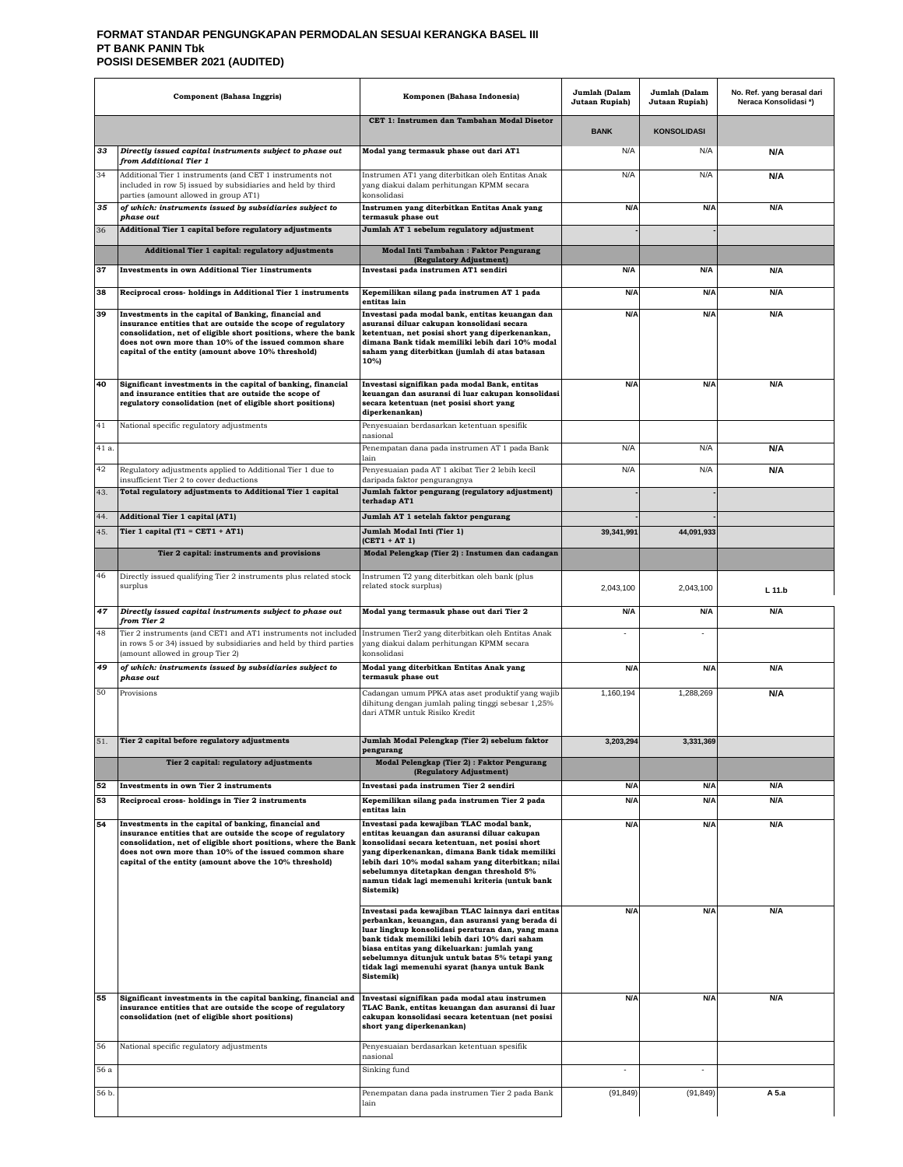#### **FORMAT STANDAR PENGUNGKAPAN PERMODALAN SESUAI KERANGKA BASEL III PT BANK PANIN Tbk POSISI DESEMBER 2021 (AUDITED)**

|       | <b>Component (Bahasa Inggris)</b>                                                                                                                                                                                                                                                                        | Komponen (Bahasa Indonesia)                                                                                                                                                                                                                                                                                                                                                | Jumlah (Dalam<br>Jutaan Rupiah) | Jumlah (Dalam<br>Jutaan Rupiah) | No. Ref. yang berasal dari<br>Neraca Konsolidasi *) |
|-------|----------------------------------------------------------------------------------------------------------------------------------------------------------------------------------------------------------------------------------------------------------------------------------------------------------|----------------------------------------------------------------------------------------------------------------------------------------------------------------------------------------------------------------------------------------------------------------------------------------------------------------------------------------------------------------------------|---------------------------------|---------------------------------|-----------------------------------------------------|
|       |                                                                                                                                                                                                                                                                                                          | CET 1: Instrumen dan Tambahan Modal Disetor                                                                                                                                                                                                                                                                                                                                | <b>BANK</b>                     | <b>KONSOLIDASI</b>              |                                                     |
| 33    | Directly issued capital instruments subject to phase out<br>from Additional Tier 1                                                                                                                                                                                                                       | Modal yang termasuk phase out dari AT1                                                                                                                                                                                                                                                                                                                                     | N/A                             | N/A                             | N/A                                                 |
| 34    | Additional Tier 1 instruments (and CET 1 instruments not<br>included in row 5) issued by subsidiaries and held by third<br>parties (amount allowed in group AT1)                                                                                                                                         | Instrumen AT1 yang diterbitkan oleh Entitas Anak<br>yang diakui dalam perhitungan KPMM secara<br>konsolidasi                                                                                                                                                                                                                                                               | N/A                             | N/A                             | N/A                                                 |
| 35    | of which: instruments issued by subsidiaries subject to<br>phase out                                                                                                                                                                                                                                     | Instrumen yang diterbitkan Entitas Anak yang<br>termasuk phase out                                                                                                                                                                                                                                                                                                         | N/A                             | N/A                             | N/A                                                 |
| 36    | Additional Tier 1 capital before regulatory adjustments                                                                                                                                                                                                                                                  | Jumlah AT 1 sebelum regulatory adjustment                                                                                                                                                                                                                                                                                                                                  |                                 |                                 |                                                     |
|       | Additional Tier 1 capital: regulatory adjustments                                                                                                                                                                                                                                                        | Modal Inti Tambahan: Faktor Pengurang<br>(Regulatory Adjustment)                                                                                                                                                                                                                                                                                                           |                                 |                                 |                                                     |
| 37    | <b>Investments in own Additional Tier 1instruments</b>                                                                                                                                                                                                                                                   | Investasi pada instrumen AT1 sendiri                                                                                                                                                                                                                                                                                                                                       | N/A                             | N/A                             | N/A                                                 |
| 38    | Reciprocal cross-holdings in Additional Tier 1 instruments                                                                                                                                                                                                                                               | Kepemilikan silang pada instrumen AT 1 pada<br>entitas lain                                                                                                                                                                                                                                                                                                                | N/A                             | N/A                             | N/A                                                 |
| 39    | Investments in the capital of Banking, financial and<br>insurance entities that are outside the scope of regulatory<br>consolidation, net of eligible short positions, where the bank<br>does not own more than 10% of the issued common share<br>capital of the entity (amount above 10% threshold)     | Investasi pada modal bank, entitas keuangan dan<br>asuransi diluar cakupan konsolidasi secara<br>ketentuan, net posisi short yang diperkenankan,<br>dimana Bank tidak memiliki lebih dari 10% modal<br>saham yang diterbitkan (jumlah di atas batasan<br>10%)                                                                                                              | N/A                             | N/A                             | N/A                                                 |
| 40    | Significant investments in the capital of banking, financial<br>and insurance entities that are outside the scope of<br>regulatory consolidation (net of eligible short positions)                                                                                                                       | Investasi signifikan pada modal Bank, entitas<br>keuangan dan asuransi di luar cakupan konsolidasi<br>secara ketentuan (net posisi short yang<br>diperkenankan)                                                                                                                                                                                                            | N/A                             | N/A                             | N/A                                                 |
| 41    | National specific regulatory adjustments                                                                                                                                                                                                                                                                 | Penyesuaian berdasarkan ketentuan spesifik<br>nasional                                                                                                                                                                                                                                                                                                                     |                                 |                                 |                                                     |
| 41 a. |                                                                                                                                                                                                                                                                                                          | Penempatan dana pada instrumen AT 1 pada Bank<br>lain                                                                                                                                                                                                                                                                                                                      | N/A                             | N/A                             | N/A                                                 |
| 42    | Regulatory adjustments applied to Additional Tier 1 due to<br>insufficient Tier 2 to cover deductions                                                                                                                                                                                                    | Penyesuaian pada AT 1 akibat Tier 2 lebih kecil<br>daripada faktor pengurangnya                                                                                                                                                                                                                                                                                            | N/A                             | N/A                             | N/A                                                 |
| 43.   | Total regulatory adjustments to Additional Tier 1 capital                                                                                                                                                                                                                                                | Jumlah faktor pengurang (regulatory adjustment)<br>terhadap AT1                                                                                                                                                                                                                                                                                                            |                                 |                                 |                                                     |
| 44.   | <b>Additional Tier 1 capital (AT1)</b>                                                                                                                                                                                                                                                                   | Jumlah AT 1 setelah faktor pengurang                                                                                                                                                                                                                                                                                                                                       |                                 |                                 |                                                     |
| 45.   | Tier 1 capital (T1 = $CET1 + AT1$ )                                                                                                                                                                                                                                                                      | Jumlah Modal Inti (Tier 1)<br>$(CET1 + AT1)$                                                                                                                                                                                                                                                                                                                               | 39,341,991                      | 44,091,933                      |                                                     |
|       | Tier 2 capital: instruments and provisions                                                                                                                                                                                                                                                               | Modal Pelengkap (Tier 2) : Instumen dan cadangan                                                                                                                                                                                                                                                                                                                           |                                 |                                 |                                                     |
| 46    | Directly issued qualifying Tier 2 instruments plus related stock<br>surplus                                                                                                                                                                                                                              | Instrumen T2 yang diterbitkan oleh bank (plus<br>related stock surplus)                                                                                                                                                                                                                                                                                                    | 2,043,100                       | 2,043,100                       | L 11.b                                              |
| 47    | Directly issued capital instruments subject to phase out<br>from Tier 2                                                                                                                                                                                                                                  | Modal yang termasuk phase out dari Tier 2                                                                                                                                                                                                                                                                                                                                  | N/A                             | N/A                             | N/A                                                 |
| 48    | Tier 2 instruments (and CET1 and AT1 instruments not included<br>in rows 5 or 34) issued by subsidiaries and held by third parties<br>(amount allowed in group Tier 2)                                                                                                                                   | Instrumen Tier2 yang diterbitkan oleh Entitas Anak<br>yang diakui dalam perhitungan KPMM secara<br>konsolidasi                                                                                                                                                                                                                                                             |                                 |                                 |                                                     |
| 49    | of which: instruments issued by subsidiaries subject to<br>phase out                                                                                                                                                                                                                                     | Modal yang diterbitkan Entitas Anak yang<br>termasuk phase out                                                                                                                                                                                                                                                                                                             | N/A                             | N/A                             | N/A                                                 |
| 50    | Provisions                                                                                                                                                                                                                                                                                               | Cadangan umum PPKA atas aset produktif yang wajib<br>dihitung dengan jumlah paling tinggi sebesar 1,25%<br>dari ATMR untuk Risiko Kredit                                                                                                                                                                                                                                   | 1,160,194                       | 1,288,269                       | N/A                                                 |
|       | Tier 2 capital before regulatory adjustments                                                                                                                                                                                                                                                             | Jumlah Modal Pelengkap (Tier 2) sebelum faktor<br>pengurang                                                                                                                                                                                                                                                                                                                | 3,203,294                       | 3,331,369                       |                                                     |
|       | Tier 2 capital: regulatory adjustments                                                                                                                                                                                                                                                                   | Modal Pelengkap (Tier 2): Faktor Pengurang<br>(Regulatory Adjustment)                                                                                                                                                                                                                                                                                                      |                                 |                                 |                                                     |
| 52    | Investments in own Tier 2 instruments                                                                                                                                                                                                                                                                    | Investasi pada instrumen Tier 2 sendiri                                                                                                                                                                                                                                                                                                                                    | N/A                             | N/A                             | N/A                                                 |
| 53    | Reciprocal cross-holdings in Tier 2 instruments                                                                                                                                                                                                                                                          | Kepemilikan silang pada instrumen Tier 2 pada<br>entitas lain                                                                                                                                                                                                                                                                                                              | N/A                             | N/A                             | N/A                                                 |
| 54    | Investments in the capital of banking, financial and<br>insurance entities that are outside the scope of regulatory<br>consolidation, net of eligible short positions, where the Bank<br>does not own more than 10% of the issued common share<br>capital of the entity (amount above the 10% threshold) | Investasi pada kewajiban TLAC modal bank,<br>entitas keuangan dan asuransi diluar cakupan<br>konsolidasi secara ketentuan, net posisi short<br>yang diperkenankan, dimana Bank tidak memiliki<br>lebih dari 10% modal saham yang diterbitkan; nilai<br>sebelumnya ditetapkan dengan threshold 5%<br>namun tidak lagi memenuhi kriteria (untuk bank<br>Sistemik)            | N/A                             | N/A                             | N/A                                                 |
|       |                                                                                                                                                                                                                                                                                                          | Investasi pada kewajiban TLAC lainnya dari entitas<br>perbankan, keuangan, dan asuransi yang berada di<br>luar lingkup konsolidasi peraturan dan, yang mana<br>bank tidak memiliki lebih dari 10% dari saham<br>biasa entitas yang dikeluarkan: jumlah yang<br>sebelumnya ditunjuk untuk batas 5% tetapi yang<br>tidak lagi memenuhi syarat (hanya untuk Bank<br>Sistemik) | N/A                             | N/A                             | N/A                                                 |
| 55    | Significant investments in the capital banking, financial and<br>insurance entities that are outside the scope of regulatory<br>consolidation (net of eligible short positions)                                                                                                                          | Investasi signifikan pada modal atau instrumen<br>TLAC Bank, entitas keuangan dan asuransi di luar<br>cakupan konsolidasi secara ketentuan (net posisi<br>short yang diperkenankan)                                                                                                                                                                                        | N/A                             | N/A                             | N/A                                                 |
| 56    | National specific regulatory adjustments                                                                                                                                                                                                                                                                 | Penyesuaian berdasarkan ketentuan spesifik<br>nasional                                                                                                                                                                                                                                                                                                                     |                                 |                                 |                                                     |
| 56 a  |                                                                                                                                                                                                                                                                                                          | Sinking fund                                                                                                                                                                                                                                                                                                                                                               | ÷,                              | ×,                              |                                                     |
| 56 b. |                                                                                                                                                                                                                                                                                                          | Penempatan dana pada instrumen Tier 2 pada Bank<br>lain                                                                                                                                                                                                                                                                                                                    | (91, 849)                       | (91, 849)                       | A 5.a                                               |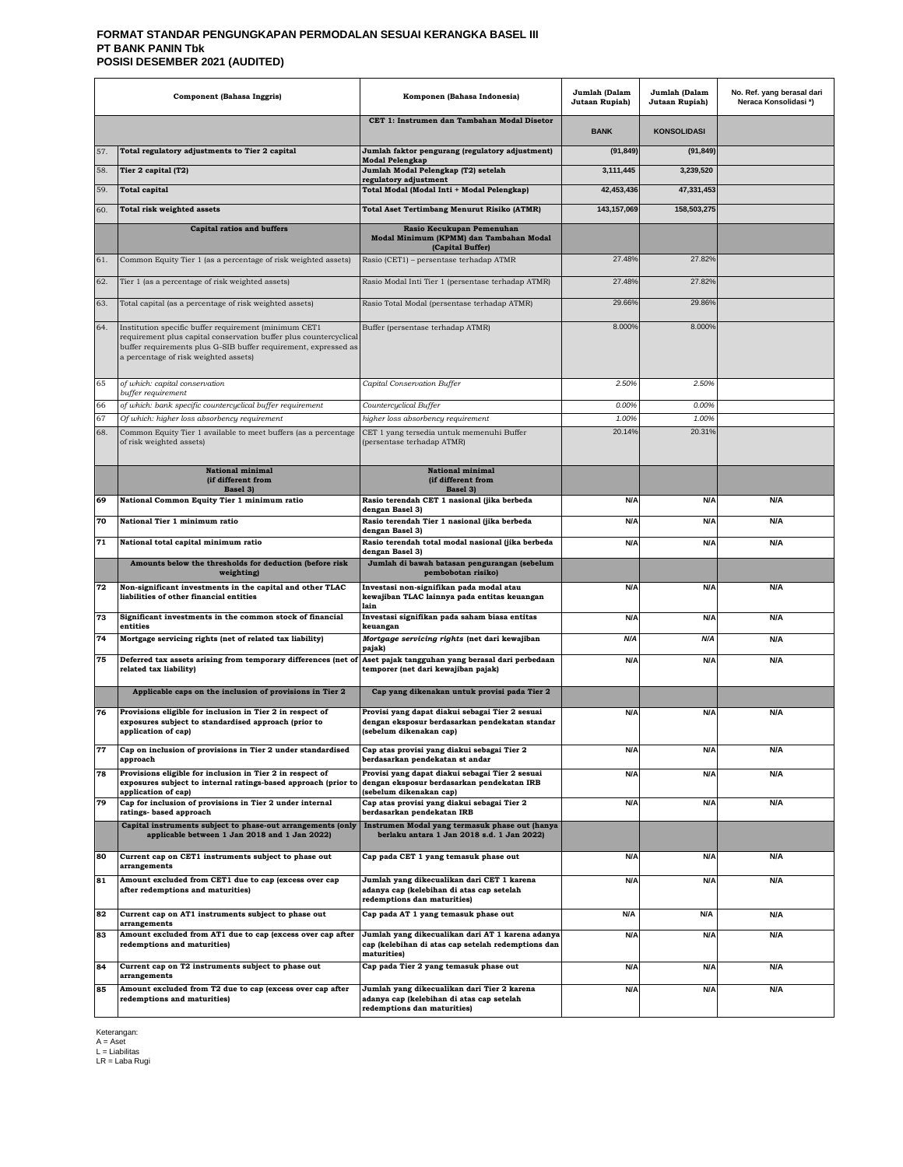#### **FORMAT STANDAR PENGUNGKAPAN PERMODALAN SESUAI KERANGKA BASEL III PT BANK PANIN Tbk POSISI DESEMBER 2021 (AUDITED)**

|     | <b>Component (Bahasa Inggris)</b>                                                                                                                                                                                                      | Komponen (Bahasa Indonesia)                                                                                                  | Jumlah (Dalam<br>Jutaan Rupiah) | Jumlah (Dalam<br>Jutaan Rupiah) | No. Ref. yang berasal dari<br>Neraca Konsolidasi*) |
|-----|----------------------------------------------------------------------------------------------------------------------------------------------------------------------------------------------------------------------------------------|------------------------------------------------------------------------------------------------------------------------------|---------------------------------|---------------------------------|----------------------------------------------------|
|     |                                                                                                                                                                                                                                        | CET 1: Instrumen dan Tambahan Modal Disetor                                                                                  | <b>BANK</b>                     | <b>KONSOLIDASI</b>              |                                                    |
| 57. | Total regulatory adjustments to Tier 2 capital                                                                                                                                                                                         | Jumlah faktor pengurang (regulatory adjustment)                                                                              | (91, 849)                       | (91, 849)                       |                                                    |
| 58. | Tier 2 capital (T2)                                                                                                                                                                                                                    | <b>Modal Pelengkap</b><br>Jumlah Modal Pelengkap (T2) setelah                                                                | 3,111,445                       | 3,239,520                       |                                                    |
| 59. | <b>Total capital</b>                                                                                                                                                                                                                   | regulatory adjustment<br>Total Modal (Modal Inti + Modal Pelengkap)                                                          | 42,453,436                      | 47,331,453                      |                                                    |
|     |                                                                                                                                                                                                                                        |                                                                                                                              |                                 |                                 |                                                    |
| 60. | Total risk weighted assets                                                                                                                                                                                                             | <b>Total Aset Tertimbang Menurut Risiko (ATMR)</b>                                                                           | 143, 157, 069                   | 158,503,275                     |                                                    |
|     | <b>Capital ratios and buffers</b>                                                                                                                                                                                                      | Rasio Kecukupan Pemenuhan<br>Modal Minimum (KPMM) dan Tambahan Modal<br>(Capital Buffer)                                     |                                 |                                 |                                                    |
| 61. | Common Equity Tier 1 (as a percentage of risk weighted assets)                                                                                                                                                                         | Rasio (CET1) - persentase terhadap ATMR                                                                                      | 27.48%                          | 27.82%                          |                                                    |
| 62. | Tier 1 (as a percentage of risk weighted assets)                                                                                                                                                                                       | Rasio Modal Inti Tier 1 (persentase terhadap ATMR)                                                                           | 27.48%                          | 27.82%                          |                                                    |
| 63. | Total capital (as a percentage of risk weighted assets)                                                                                                                                                                                | Rasio Total Modal (persentase terhadap ATMR)                                                                                 | 29.66%                          | 29.86%                          |                                                    |
| 64. | Institution specific buffer requirement (minimum CET1<br>requirement plus capital conservation buffer plus countercyclical<br>buffer requirements plus G-SIB buffer requirement, expressed as<br>a percentage of risk weighted assets) | Buffer (persentase terhadap ATMR)                                                                                            | 8.000%                          | 8.000%                          |                                                    |
| 65  | of which: capital conservation<br>buffer requirement                                                                                                                                                                                   | Capital Conservation Buffer                                                                                                  | 2.50%                           | 2.50%                           |                                                    |
| 66  | of which: bank specific countercyclical buffer requirement                                                                                                                                                                             | Countercyclical Buffer                                                                                                       | 0.00%                           | 0.00%                           |                                                    |
| 67  | Of which: higher loss absorbency requirement                                                                                                                                                                                           | higher loss absorbency requirement                                                                                           | 1.00%                           | 1.00%                           |                                                    |
| 68. | Common Equity Tier 1 available to meet buffers (as a percentage<br>of risk weighted assets)                                                                                                                                            | CET 1 yang tersedia untuk memenuhi Buffer<br>(persentase terhadap ATMR)                                                      | 20.14%                          | 20.31%                          |                                                    |
|     | <b>National minimal</b><br>(if different from<br>Basel 3)                                                                                                                                                                              | <b>National minimal</b><br>(if different from<br>Basel 3)                                                                    |                                 |                                 |                                                    |
| 69  | National Common Equity Tier 1 minimum ratio                                                                                                                                                                                            | Rasio terendah CET 1 nasional (jika berbeda<br>dengan Basel 3)                                                               | N/A                             | N/A                             | N/A                                                |
| 70  | National Tier 1 minimum ratio                                                                                                                                                                                                          | Rasio terendah Tier 1 nasional (jika berbeda                                                                                 | <b>N/A</b>                      | N/A                             | N/A                                                |
| 71  | National total capital minimum ratio                                                                                                                                                                                                   | dengan Basel 3)<br>Rasio terendah total modal nasional (jika berbeda<br>dengan Basel 3)                                      | <b>N/A</b>                      | N/A                             | N/A                                                |
|     | Amounts below the thresholds for deduction (before risk<br>weighting)                                                                                                                                                                  | Jumlah di bawah batasan pengurangan (sebelum<br>pembobotan risiko)                                                           |                                 |                                 |                                                    |
| 72  | Non-significant investments in the capital and other TLAC                                                                                                                                                                              | Investasi non-signifikan pada modal atau                                                                                     | N/A                             | N/A                             | N/A                                                |
|     | liabilities of other financial entities                                                                                                                                                                                                | kewajiban TLAC lainnya pada entitas keuangan<br>lain                                                                         |                                 |                                 |                                                    |
| 73  | Significant investments in the common stock of financial<br>entities                                                                                                                                                                   | Investasi signifikan pada saham biasa entitas<br>keuangan                                                                    | <b>N/A</b>                      | N/A                             | N/A                                                |
| 74  | Mortgage servicing rights (net of related tax liability)                                                                                                                                                                               | Mortgage servicing rights (net dari kewajiban<br>pajak)                                                                      | N/A                             | N/A                             | N/A                                                |
| 75  | Deferred tax assets arising from temporary differences (net of<br>related tax liability)                                                                                                                                               | Aset pajak tangguhan yang berasal dari perbedaan<br>temporer (net dari kewajiban pajak)                                      | <b>N/A</b>                      | N/A                             | N/A                                                |
|     | Applicable caps on the inclusion of provisions in Tier 2                                                                                                                                                                               | Cap yang dikenakan untuk provisi pada Tier 2                                                                                 |                                 |                                 |                                                    |
| 76  | Provisions eligible for inclusion in Tier 2 in respect of<br>exposures subject to standardised approach (prior to<br>application of cap)                                                                                               | Provisi yang dapat diakui sebagai Tier 2 sesuai<br>dengan eksposur berdasarkan pendekatan standar<br>(sebelum dikenakan cap) | N/A                             | N/A                             | N/A                                                |
| 77  | Cap on inclusion of provisions in Tier 2 under standardised<br>approach                                                                                                                                                                | Cap atas provisi yang diakui sebagai Tier 2<br>berdasarkan pendekatan st andar                                               | N/A                             | N/A                             | N/A                                                |
| 78  | Provisions eligible for inclusion in Tier 2 in respect of<br>exposures subject to internal ratings-based approach (prior to<br>application of cap)                                                                                     | Provisi yang dapat diakui sebagai Tier 2 sesuai<br>dengan eksposur berdasarkan pendekatan IRB<br>(sebelum dikenakan cap)     | N/A                             | N/A                             | N/A                                                |
| 79  | Cap for inclusion of provisions in Tier 2 under internal<br>ratings- based approach                                                                                                                                                    | Cap atas provisi yang diakui sebagai Tier 2<br>berdasarkan pendekatan IRB                                                    | <b>N/A</b>                      | N/A                             | N/A                                                |
|     | Capital instruments subject to phase-out arrangements (only<br>applicable between 1 Jan 2018 and 1 Jan 2022)                                                                                                                           | Instrumen Modal yang termasuk phase out (hanya<br>berlaku antara 1 Jan 2018 s.d. 1 Jan 2022)                                 |                                 |                                 |                                                    |
| 80  | Current cap on CET1 instruments subject to phase out<br>arrangements                                                                                                                                                                   | Cap pada CET 1 yang temasuk phase out                                                                                        | <b>N/A</b>                      | N/A                             | N/A                                                |
| 81  | Amount excluded from CET1 due to cap (excess over cap<br>after redemptions and maturities)                                                                                                                                             | Jumlah yang dikecualikan dari CET 1 karena<br>adanya cap (kelebihan di atas cap setelah<br>redemptions dan maturities)       | N/A                             | N/A                             | N/A                                                |
| 82  | Current cap on AT1 instruments subject to phase out<br>arrangements                                                                                                                                                                    | Cap pada AT 1 yang temasuk phase out                                                                                         | N/A                             | N/A                             | N/A                                                |
| 83  | Amount excluded from AT1 due to cap (excess over cap after<br>redemptions and maturities)                                                                                                                                              | Jumlah yang dikecualikan dari AT 1 karena adanya<br>cap (kelebihan di atas cap setelah redemptions dan<br>maturities)        | <b>N/A</b>                      | N/A                             | N/A                                                |
| 84  | Current cap on T2 instruments subject to phase out<br>arrangements                                                                                                                                                                     | Cap pada Tier 2 yang temasuk phase out                                                                                       | <b>N/A</b>                      | N/A                             | N/A                                                |
| 85  | Amount excluded from T2 due to cap (excess over cap after<br>redemptions and maturities)                                                                                                                                               | Jumlah yang dikecualikan dari Tier 2 karena<br>adanya cap (kelebihan di atas cap setelah<br>redemptions dan maturities)      | N/A                             | N/A                             | N/A                                                |

Keterangan: A = Aset L = Liabilitas LR = Laba Rugi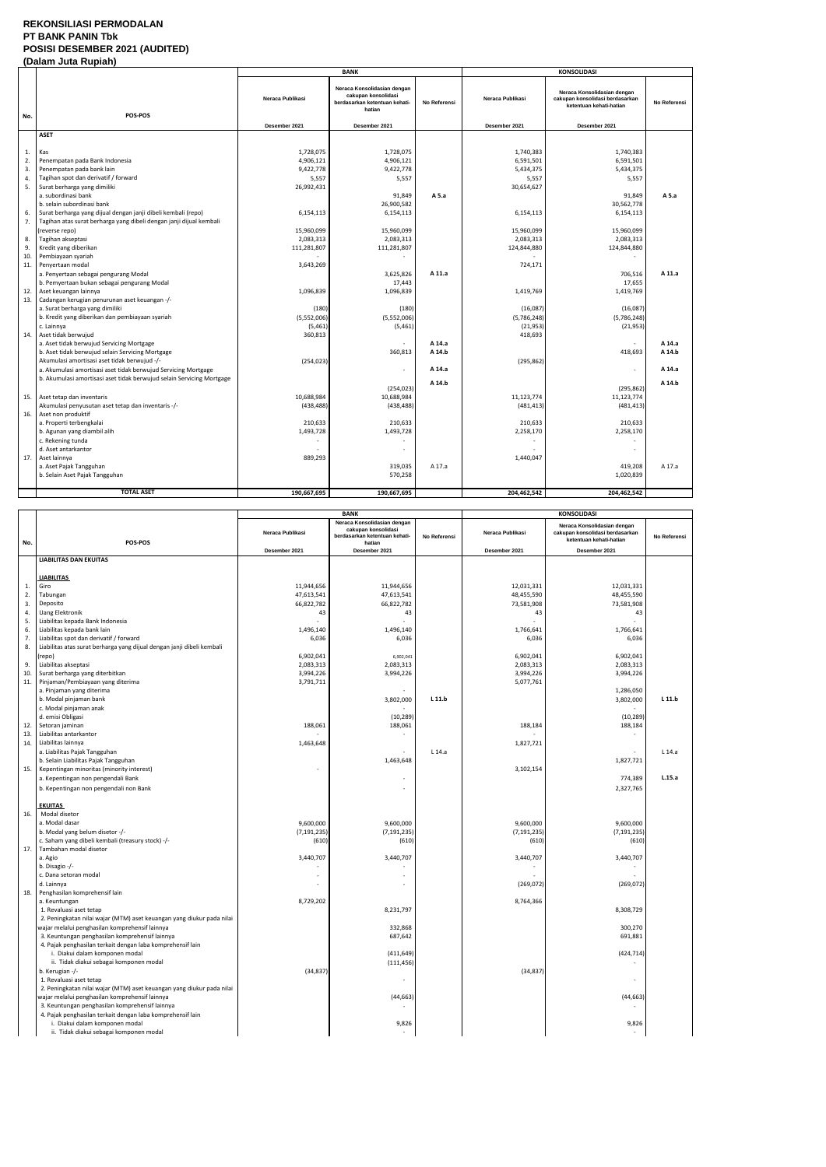#### **REKONSILIASI PERMODALAN PT BANK PANIN Tbk POSISI DESEMBER 2021 (AUDITED) (Dalam Juta Rupiah)**

|     | Palant vala Rapian                                                                   |                                   | <b>BANK</b>                                                                                                    |              |                                   | <b>KONSOLIDASI</b>                                                                                         |              |
|-----|--------------------------------------------------------------------------------------|-----------------------------------|----------------------------------------------------------------------------------------------------------------|--------------|-----------------------------------|------------------------------------------------------------------------------------------------------------|--------------|
| No. | POS-POS                                                                              | Neraca Publikasi<br>Desember 2021 | Neraca Konsolidasian dengan<br>cakupan konsolidasi<br>berdasarkan ketentuan kehati-<br>hatian<br>Desember 2021 | No Referensi | Neraca Publikasi<br>Desember 2021 | Neraca Konsolidasian dengan<br>cakupan konsolidasi berdasarkan<br>ketentuan kehati-hatian<br>Desember 2021 | No Referensi |
|     | <b>ASET</b>                                                                          |                                   |                                                                                                                |              |                                   |                                                                                                            |              |
|     |                                                                                      |                                   |                                                                                                                |              |                                   |                                                                                                            |              |
| 1.  | Kas                                                                                  | 1,728,075                         | 1,728,075                                                                                                      |              | 1,740,383                         | 1,740,383                                                                                                  |              |
| 2.  | Penempatan pada Bank Indonesia                                                       | 4,906,121                         | 4,906,121                                                                                                      |              | 6,591,501                         | 6,591,501                                                                                                  |              |
| 3   | Penempatan pada bank lain                                                            | 9,422,778                         | 9,422,778                                                                                                      |              | 5,434,375                         | 5,434,375                                                                                                  |              |
| 4.  | Tagihan spot dan derivatif / forward                                                 | 5,557                             | 5,557                                                                                                          |              | 5,557                             | 5,557                                                                                                      |              |
| 5.  | Surat berharga yang dimiliki                                                         | 26,992,431                        |                                                                                                                |              | 30,654,627                        |                                                                                                            |              |
|     | a. subordinasi bank                                                                  |                                   | 91,849                                                                                                         | A 5.a        |                                   | 91,849                                                                                                     | A 5.a        |
|     | b. selain subordinasi bank                                                           |                                   | 26,900,582                                                                                                     |              |                                   | 30,562,778                                                                                                 |              |
| 6.  | Surat berharga yang dijual dengan janji dibeli kembali (repo)                        | 6,154,113                         | 6,154,113                                                                                                      |              | 6,154,113                         | 6,154,113                                                                                                  |              |
| 7.  | Tagihan atas surat berharga yang dibeli dengan janji dijual kembali                  |                                   |                                                                                                                |              |                                   |                                                                                                            |              |
|     | (reverse repo)                                                                       | 15,960,099                        | 15,960,099                                                                                                     |              | 15,960,099                        | 15,960,099                                                                                                 |              |
| 8.  | Tagihan akseptasi                                                                    | 2,083,313                         | 2,083,313                                                                                                      |              | 2,083,313                         | 2,083,313                                                                                                  |              |
| 9.  | Kredit yang diberikan                                                                | 111,281,807                       | 111,281,807                                                                                                    |              | 124,844,880                       | 124,844,880                                                                                                |              |
| 10  | Pembiayaan syariah                                                                   |                                   |                                                                                                                |              |                                   |                                                                                                            |              |
| 11. | Penyertaan modal                                                                     | 3,643,269                         |                                                                                                                | A 11.a       | 724,171                           |                                                                                                            | A 11.a       |
|     | a. Penyertaan sebagai pengurang Modal<br>b. Pemyertaan bukan sebagai pengurang Modal |                                   | 3,625,826<br>17,443                                                                                            |              |                                   | 706,516<br>17,655                                                                                          |              |
| 12. | Aset keuangan lainnya                                                                | 1,096,839                         | 1,096,839                                                                                                      |              | 1,419,769                         | 1,419,769                                                                                                  |              |
| 13. | Cadangan kerugian penurunan aset keuangan -/-                                        |                                   |                                                                                                                |              |                                   |                                                                                                            |              |
|     | a. Surat berharga yang dimiliki                                                      | (180)                             | (180)                                                                                                          |              | (16,087)                          | (16,087)                                                                                                   |              |
|     | b. Kredit yang diberikan dan pembiayaan syariah                                      | (5,552,006)                       | (5,552,006)                                                                                                    |              | (5,786,248)                       | (5,786,248)                                                                                                |              |
|     | c. Lainnya                                                                           | (5,461)                           | (5, 461)                                                                                                       |              | (21, 953)                         | (21, 953)                                                                                                  |              |
| 14  | Aset tidak berwujud                                                                  | 360,813                           |                                                                                                                |              | 418,693                           |                                                                                                            |              |
|     | a. Aset tidak berwujud Servicing Mortgage                                            |                                   |                                                                                                                | A 14.a       |                                   |                                                                                                            | A 14.a       |
|     | b. Aset tidak berwujud selain Servicing Mortgage                                     |                                   | 360,813                                                                                                        | A 14.b       |                                   | 418,693                                                                                                    | A 14.b       |
|     | Akumulasi amortisasi aset tidak berwujud -/-                                         | (254, 023)                        |                                                                                                                |              | (295, 862)                        |                                                                                                            |              |
|     | a. Akumulasi amortisasi aset tidak berwujud Servicing Mortgage                       |                                   |                                                                                                                | A 14.a       |                                   | $\overline{a}$                                                                                             | A 14.a       |
|     | b. Akumulasi amortisasi aset tidak berwujud selain Servicing Mortgage                |                                   |                                                                                                                |              |                                   |                                                                                                            |              |
|     |                                                                                      |                                   | (254, 023)                                                                                                     | A 14.b       |                                   | (295, 862)                                                                                                 | A 14.b       |
| 15. | Aset tetap dan inventaris                                                            | 10,688,984                        | 10,688,984                                                                                                     |              | 11, 123, 774                      | 11,123,774                                                                                                 |              |
|     | Akumulasi penyusutan aset tetap dan inventaris -/-                                   | (438, 488)                        | (438, 488)                                                                                                     |              | (481, 413)                        | (481, 413)                                                                                                 |              |
| 16. | Aset non produktif                                                                   |                                   |                                                                                                                |              |                                   |                                                                                                            |              |
|     | a. Properti terbengkalai                                                             | 210,633                           | 210,633                                                                                                        |              | 210,633                           | 210,633                                                                                                    |              |
|     | b. Agunan yang diambil alih                                                          | 1,493,728                         | 1,493,728                                                                                                      |              | 2,258,170                         | 2,258,170                                                                                                  |              |
|     | c. Rekening tunda                                                                    |                                   |                                                                                                                |              |                                   |                                                                                                            |              |
|     | d. Aset antarkantor                                                                  |                                   |                                                                                                                |              |                                   |                                                                                                            |              |
| 17. | Aset lainnya                                                                         | 889,293                           |                                                                                                                |              | 1,440,047                         |                                                                                                            |              |
|     | a. Aset Pajak Tangguhan                                                              |                                   | 319,035                                                                                                        | A 17.a       |                                   | 419,208                                                                                                    | A 17.a       |
|     | b. Selain Aset Pajak Tangguhan                                                       |                                   | 570,258                                                                                                        |              |                                   | 1,020,839                                                                                                  |              |
|     |                                                                                      |                                   |                                                                                                                |              |                                   |                                                                                                            |              |
|     | <b>TOTAL ASET</b>                                                                    | 190,667,695                       | 190,667,695                                                                                                    |              | 204,462,542                       | 204,462,542                                                                                                |              |

|          |                                                                             |                  | <b>BANK</b>                                        |              | <b>KONSOLIDASI</b> |                                                                |              |
|----------|-----------------------------------------------------------------------------|------------------|----------------------------------------------------|--------------|--------------------|----------------------------------------------------------------|--------------|
|          |                                                                             | Neraca Publikasi | Neraca Konsolidasian dengan<br>cakupan konsolidasi |              | Neraca Publikasi   | Neraca Konsolidasian dengan<br>cakupan konsolidasi berdasarkan |              |
| No.      | POS-POS                                                                     |                  | berdasarkan ketentuan kehati-<br>hatian            | No Referensi |                    | ketentuan kehati-hatian                                        | No Referensi |
|          |                                                                             | Desember 2021    | Desember 2021                                      |              | Desember 2021      | Desember 2021                                                  |              |
|          | <b>LIABILITAS DAN EKUITAS</b>                                               |                  |                                                    |              |                    |                                                                |              |
|          |                                                                             |                  |                                                    |              |                    |                                                                |              |
|          | <b>LIABILITAS</b>                                                           |                  |                                                    |              |                    |                                                                |              |
| 1.       | Giro                                                                        | 11,944,656       | 11,944,656                                         |              | 12,031,331         | 12,031,331                                                     |              |
| 2.       | Tabungan                                                                    | 47,613,541       | 47,613,541                                         |              | 48,455,590         | 48,455,590                                                     |              |
| 3.<br>4. | Deposito<br><b>Uang Elektronik</b>                                          | 66,822,782<br>43 | 66,822,782<br>43                                   |              | 73,581,908<br>43   | 73,581,908<br>43                                               |              |
| 5.       | Liabilitas kepada Bank Indonesia                                            |                  |                                                    |              |                    |                                                                |              |
| 6.       | Liabilitas kepada bank lain                                                 | 1,496,140        | 1,496,140                                          |              | 1,766,641          | 1,766,641                                                      |              |
| 7.       | Liabilitas spot dan derivatif / forward                                     | 6,036            | 6,036                                              |              | 6,036              | 6,036                                                          |              |
| 8.       | Liabilitas atas surat berharga yang dijual dengan janji dibeli kembali      |                  |                                                    |              |                    |                                                                |              |
|          | (repo)                                                                      | 6,902,041        | 6,902,041                                          |              | 6,902,041          | 6,902,041                                                      |              |
| 9.       | Liabilitas akseptasi                                                        | 2,083,313        | 2,083,313                                          |              | 2,083,313          | 2,083,313                                                      |              |
| 10.      | Surat berharga yang diterbitkan                                             | 3,994,226        | 3,994,226                                          |              | 3,994,226          | 3,994,226                                                      |              |
| 11.      | Pinjaman/Pembiayaan yang diterima                                           | 3,791,711        |                                                    |              | 5,077,761          |                                                                |              |
|          | a. Pinjaman yang diterima                                                   |                  |                                                    |              |                    | 1,286,050                                                      |              |
|          | b. Modal pinjaman bank                                                      |                  | 3,802,000                                          | L 11.b       |                    | 3,802,000                                                      | L 11.b       |
|          | c. Modal pinjaman anak                                                      |                  |                                                    |              |                    |                                                                |              |
|          | d. emisi Obligasi                                                           |                  | (10, 289)                                          |              |                    | (10, 289)                                                      |              |
| 12.      | Setoran jaminan                                                             | 188,061          | 188,061                                            |              | 188,184            | 188,184                                                        |              |
| 13.      | Liabilitas antarkantor                                                      |                  |                                                    |              |                    |                                                                |              |
| 14.      | Liabilitas lainnya<br>a. Liabilitas Pajak Tangguhan                         | 1,463,648        |                                                    | $L$ 14.a     | 1,827,721          |                                                                | $L$ 14.a     |
|          | b. Selain Liabilitas Pajak Tangguhan                                        |                  | 1,463,648                                          |              |                    | 1,827,721                                                      |              |
| 15.      | Kepentingan minoritas (minority interest)                                   |                  |                                                    |              | 3,102,154          |                                                                |              |
|          | a. Kepentingan non pengendali Bank                                          |                  |                                                    |              |                    | 774,389                                                        | L.15.a       |
|          | b. Kepentingan non pengendali non Bank                                      |                  |                                                    |              |                    | 2,327,765                                                      |              |
|          |                                                                             |                  |                                                    |              |                    |                                                                |              |
|          | <b>EKUITAS</b>                                                              |                  |                                                    |              |                    |                                                                |              |
| 16.      | Modal disetor                                                               |                  |                                                    |              |                    |                                                                |              |
|          | a. Modal dasar                                                              | 9,600,000        | 9,600,000                                          |              | 9,600,000          | 9,600,000                                                      |              |
|          | b. Modal yang belum disetor -/-                                             | (7, 191, 235)    | (7, 191, 235)                                      |              | (7, 191, 235)      | (7, 191, 235)                                                  |              |
|          | c. Saham yang dibeli kembali (treasury stock) -/-<br>Tambahan modal disetor | (610)            | (610)                                              |              | (610)              | (610)                                                          |              |
| 17.      | a. Agio                                                                     | 3,440,707        | 3,440,707                                          |              | 3,440,707          | 3,440,707                                                      |              |
|          | b. Disagio $-/-$                                                            |                  |                                                    |              |                    |                                                                |              |
|          | c. Dana setoran modal                                                       |                  |                                                    |              |                    |                                                                |              |
|          | d. Lainnya                                                                  |                  |                                                    |              | (269, 072)         | (269, 072)                                                     |              |
| 18.      | Penghasilan komprehensif lain                                               |                  |                                                    |              |                    |                                                                |              |
|          | a. Keuntungan                                                               | 8,729,202        |                                                    |              | 8,764,366          |                                                                |              |
|          | 1. Revaluasi aset tetap                                                     |                  | 8,231,797                                          |              |                    | 8,308,729                                                      |              |
|          | 2. Peningkatan nilai wajar (MTM) aset keuangan yang diukur pada nilai       |                  |                                                    |              |                    |                                                                |              |
|          | wajar melalui penghasilan komprehensif lainnya                              |                  | 332,868                                            |              |                    | 300,270                                                        |              |
|          | 3. Keuntungan penghasilan komprehensif lainnya                              |                  | 687,642                                            |              |                    | 691,881                                                        |              |
|          | 4. Pajak penghasilan terkait dengan laba komprehensif lain                  |                  |                                                    |              |                    |                                                                |              |
|          | i. Diakui dalam komponen modal                                              |                  | (411, 649)                                         |              |                    | (424, 714)                                                     |              |
|          | ii. Tidak diakui sebagai komponen modal                                     |                  | (111, 456)                                         |              |                    |                                                                |              |
|          | b. Kerugian -/-<br>1. Revaluasi aset tetap                                  | (34, 837)        |                                                    |              | (34, 837)          | $\overline{\phantom{a}}$                                       |              |
|          | 2. Peningkatan nilai wajar (MTM) aset keuangan yang diukur pada nilai       |                  |                                                    |              |                    |                                                                |              |
|          | wajar melalui penghasilan komprehensif lainnya                              |                  | (44, 663)                                          |              |                    | (44, 663)                                                      |              |
|          | 3. Keuntungan penghasilan komprehensif lainnya                              |                  |                                                    |              |                    |                                                                |              |
|          | 4. Pajak penghasilan terkait dengan laba komprehensif lain                  |                  |                                                    |              |                    |                                                                |              |
|          | i. Diakui dalam komponen modal                                              |                  | 9,826                                              |              |                    | 9,826                                                          |              |
|          | ii. Tidak diakui sebagai komponen modal                                     |                  |                                                    |              |                    |                                                                |              |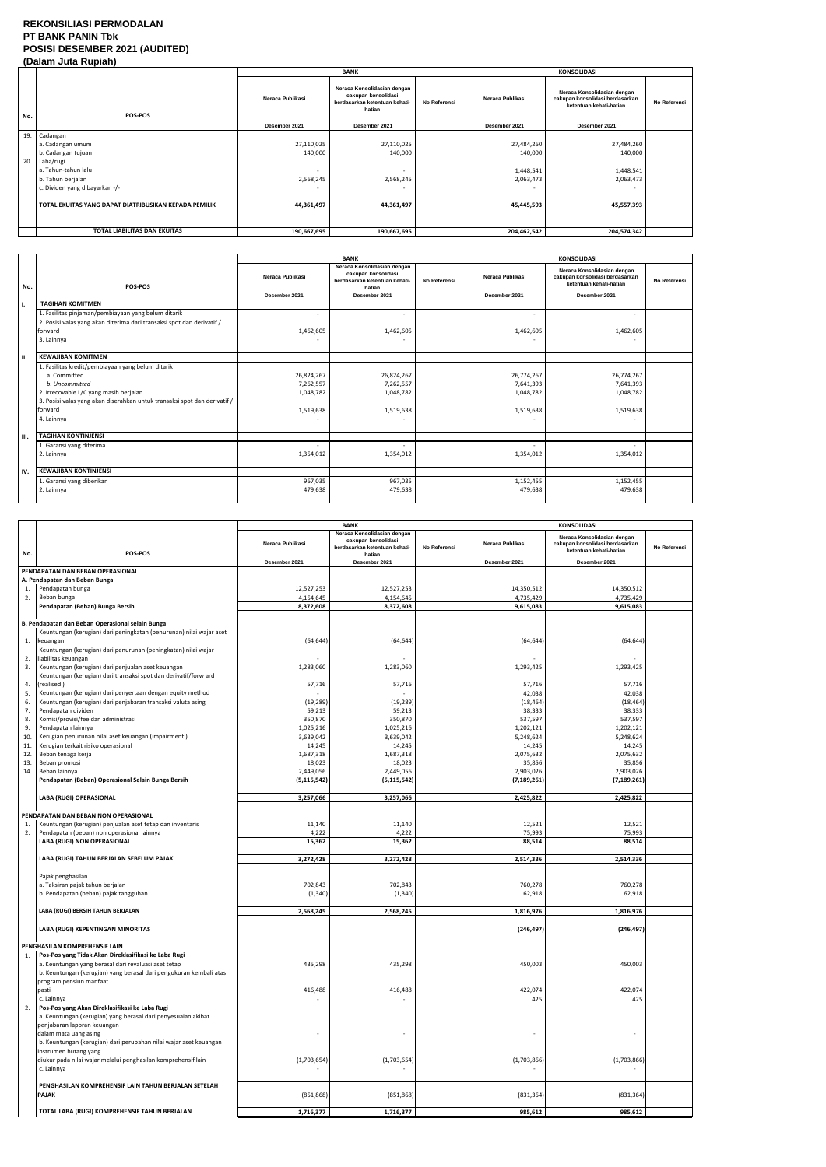### **REKONSILIASI PERMODALAN PT BANK PANIN Tbk POSISI DESEMBER 2021 (AUDITED) (Dalam Juta Rupiah)**

|     |                                                       |                          | <b>BANK</b>                                                                                   |              |                  | <b>KONSOLIDASI</b>                                                                        |              |
|-----|-------------------------------------------------------|--------------------------|-----------------------------------------------------------------------------------------------|--------------|------------------|-------------------------------------------------------------------------------------------|--------------|
| No. | <b>POS-POS</b>                                        | Neraca Publikasi         | Neraca Konsolidasian dengan<br>cakupan konsolidasi<br>berdasarkan ketentuan kehati-<br>hatian | No Referensi | Neraca Publikasi | Neraca Konsolidasian dengan<br>cakupan konsolidasi berdasarkan<br>ketentuan kehati-hatian | No Referensi |
|     |                                                       | Desember 2021            | Desember 2021                                                                                 |              | Desember 2021    | Desember 2021                                                                             |              |
|     | 19. Cadangan                                          |                          |                                                                                               |              |                  |                                                                                           |              |
|     | a. Cadangan umum                                      | 27,110,025               | 27,110,025                                                                                    |              | 27,484,260       | 27,484,260                                                                                |              |
|     | b. Cadangan tujuan                                    | 140,000                  | 140,000                                                                                       |              | 140,000          | 140,000                                                                                   |              |
|     | 20. Laba/rugi                                         |                          |                                                                                               |              |                  |                                                                                           |              |
|     | a. Tahun-tahun lalu                                   | $\overline{\phantom{a}}$ |                                                                                               |              | 1,448,541        | 1,448,541                                                                                 |              |
|     | b. Tahun berjalan                                     | 2,568,245                | 2,568,245                                                                                     |              | 2,063,473        | 2,063,473                                                                                 |              |
|     | c. Dividen yang dibayarkan -/-                        |                          |                                                                                               |              |                  |                                                                                           |              |
|     | TOTAL EKUITAS YANG DAPAT DIATRIBUSIKAN KEPADA PEMILIK | 44,361,497               | 44,361,497                                                                                    |              | 45,445,593       | 45,557,393                                                                                |              |
|     | <b>TOTAL LIABILITAS DAN EKUITAS</b>                   | 190,667,695              | 190,667,695                                                                                   |              | 204,462,542      | 204,574,342                                                                               |              |

|      |                                                                                                                                                                                                                                     | <b>BANK</b>                                       |                                                                                                                | <b>KONSOLIDASI</b> |                                                   |                                                                                                            |              |
|------|-------------------------------------------------------------------------------------------------------------------------------------------------------------------------------------------------------------------------------------|---------------------------------------------------|----------------------------------------------------------------------------------------------------------------|--------------------|---------------------------------------------------|------------------------------------------------------------------------------------------------------------|--------------|
| No.  | POS-POS                                                                                                                                                                                                                             | Neraca Publikasi<br>Desember 2021                 | Neraca Konsolidasian dengan<br>cakupan konsolidasi<br>berdasarkan ketentuan kehati-<br>hatian<br>Desember 2021 | No Referensi       | Neraca Publikasi<br>Desember 2021                 | Neraca Konsolidasian dengan<br>cakupan konsolidasi berdasarkan<br>ketentuan kehati-hatian<br>Desember 2021 | No Referensi |
| Ι.   | <b>TAGIHAN KOMITMEN</b>                                                                                                                                                                                                             |                                                   |                                                                                                                |                    |                                                   |                                                                                                            |              |
|      | 1. Fasilitas pinjaman/pembiayaan yang belum ditarik<br>2. Posisi valas yang akan diterima dari transaksi spot dan derivatif /<br>forward<br>3. Lainnya                                                                              | $\overline{\phantom{a}}$<br>1,462,605             | 1,462,605                                                                                                      |                    | 1,462,605                                         | ۰<br>1,462,605                                                                                             |              |
| н.   | <b>KEWAJIBAN KOMITMEN</b>                                                                                                                                                                                                           |                                                   |                                                                                                                |                    |                                                   |                                                                                                            |              |
|      | 1. Fasilitas kredit/pembiayaan yang belum ditarik<br>a. Committed<br>b. Uncommitted<br>2. Irrecovable L/C yang masih berjalan<br>3. Posisi valas yang akan diserahkan untuk transaksi spot dan derivatif /<br>forward<br>4. Lainnya | 26,824,267<br>7,262,557<br>1,048,782<br>1,519,638 | 26,824,267<br>7,262,557<br>1,048,782<br>1,519,638                                                              |                    | 26,774,267<br>7,641,393<br>1,048,782<br>1,519,638 | 26,774,267<br>7,641,393<br>1,048,782<br>1,519,638                                                          |              |
| III. | <b>TAGIHAN KONTINJENSI</b>                                                                                                                                                                                                          |                                                   |                                                                                                                |                    |                                                   |                                                                                                            |              |
|      | 1. Garansi yang diterima<br>2. Lainnya                                                                                                                                                                                              | $\overline{\phantom{a}}$<br>1,354,012             | 1,354,012                                                                                                      |                    | 1,354,012                                         | $\overline{\phantom{0}}$<br>1,354,012                                                                      |              |
| IV.  | <b>KEWAJIBAN KONTINJENSI</b>                                                                                                                                                                                                        |                                                   |                                                                                                                |                    |                                                   |                                                                                                            |              |
|      | 1. Garansi yang diberikan<br>2. Lainnya                                                                                                                                                                                             | 967,035<br>479,638                                | 967,035<br>479,638                                                                                             |                    | 1,152,455<br>479,638                              | 1,152,455<br>479,638                                                                                       |              |

|          |                                                                                              |                            | <b>BANK</b>                                                                                   |              | <b>KONSOLIDASI</b>         |                                                                                           |              |
|----------|----------------------------------------------------------------------------------------------|----------------------------|-----------------------------------------------------------------------------------------------|--------------|----------------------------|-------------------------------------------------------------------------------------------|--------------|
| No.      | POS-POS                                                                                      | Neraca Publikasi           | Neraca Konsolidasian dengan<br>cakupan konsolidasi<br>berdasarkan ketentuan kehati-<br>hatian | No Referensi | Neraca Publikasi           | Neraca Konsolidasian dengan<br>cakupan konsolidasi berdasarkan<br>ketentuan kehati-hatian | No Referensi |
|          |                                                                                              | Desember 2021              | Desember 2021                                                                                 |              | Desember 2021              | Desember 2021                                                                             |              |
|          | PENDAPATAN DAN BEBAN OPERASIONAL                                                             |                            |                                                                                               |              |                            |                                                                                           |              |
|          | A. Pendapatan dan Beban Bunga                                                                |                            |                                                                                               |              |                            |                                                                                           |              |
| 1.       | Pendapatan bunga                                                                             | 12,527,253                 | 12,527,253                                                                                    |              | 14,350,512                 | 14,350,512                                                                                |              |
| 2.       | Beban bunga                                                                                  | 4,154,645                  | 4,154,645                                                                                     |              | 4,735,429                  | 4,735,429                                                                                 |              |
|          | Pendapatan (Beban) Bunga Bersih                                                              | 8,372,608                  | 8,372,608                                                                                     |              | 9,615,083                  | 9,615,083                                                                                 |              |
|          | B. Pendapatan dan Beban Operasional selain Bunga                                             |                            |                                                                                               |              |                            |                                                                                           |              |
|          | Keuntungan (kerugian) dari peningkatan (penurunan) nilai wajar aset                          |                            |                                                                                               |              |                            |                                                                                           |              |
| 1.       | keuangan                                                                                     | (64, 644)                  | (64, 644)                                                                                     |              | (64, 644)                  | (64, 644)                                                                                 |              |
|          | Keuntungan (kerugian) dari penurunan (peningkatan) nilai wajar                               |                            |                                                                                               |              |                            |                                                                                           |              |
| 2.       | liabilitas keuangan                                                                          |                            |                                                                                               |              |                            |                                                                                           |              |
| 3.       | Keuntungan (kerugian) dari penjualan aset keuangan                                           | 1,283,060                  | 1,283,060                                                                                     |              | 1,293,425                  | 1,293,425                                                                                 |              |
|          | Keuntungan (kerugian) dari transaksi spot dan derivatif/forw ard                             |                            |                                                                                               |              |                            |                                                                                           |              |
| 4.<br>5. | (realised)<br>Keuntungan (kerugian) dari penyertaan dengan equity method                     | 57,716                     | 57,716                                                                                        |              | 57,716<br>42,038           | 57,716<br>42,038                                                                          |              |
| 6.       | Keuntungan (kerugian) dari penjabaran transaksi valuta asing                                 | (19, 289)                  | (19, 289)                                                                                     |              | (18, 464)                  | (18, 464)                                                                                 |              |
| 7.       | Pendapatan dividen                                                                           | 59,213                     | 59,213                                                                                        |              | 38,333                     | 38,333                                                                                    |              |
| 8.       | Komisi/provisi/fee dan administrasi                                                          | 350,870                    | 350,870                                                                                       |              | 537,597                    | 537,597                                                                                   |              |
| 9.       | Pendapatan lainnya                                                                           | 1,025,216                  | 1,025,216                                                                                     |              | 1,202,121                  | 1,202,121                                                                                 |              |
| 10.      | Kerugian penurunan nilai aset keuangan (impairment)                                          | 3,639,042                  | 3,639,042                                                                                     |              | 5,248,624                  | 5,248,624                                                                                 |              |
| 11.      | Kerugian terkait risiko operasional                                                          | 14,245                     | 14,245                                                                                        |              | 14,245                     | 14,245                                                                                    |              |
| 12.      | Beban tenaga kerja                                                                           | 1,687,318                  | 1,687,318                                                                                     |              | 2,075,632                  | 2,075,632                                                                                 |              |
| 13.      | Beban promosi                                                                                | 18,023                     | 18,023                                                                                        |              | 35,856                     | 35,856                                                                                    |              |
| 14       | Beban lainnya<br>Pendapatan (Beban) Operasional Selain Bunga Bersih                          | 2,449,056<br>(5, 115, 542) | 2,449,056<br>(5, 115, 542)                                                                    |              | 2,903,026<br>(7, 189, 261) | 2,903,026<br>(7, 189, 261)                                                                |              |
|          |                                                                                              |                            |                                                                                               |              |                            |                                                                                           |              |
|          | LABA (RUGI) OPERASIONAL                                                                      | 3,257,066                  | 3,257,066                                                                                     |              | 2,425,822                  | 2,425,822                                                                                 |              |
|          |                                                                                              |                            |                                                                                               |              |                            |                                                                                           |              |
|          | PENDAPATAN DAN BEBAN NON OPERASIONAL                                                         |                            |                                                                                               |              |                            |                                                                                           |              |
| 1.       | Keuntungan (kerugian) penjualan aset tetap dan inventaris                                    | 11,140                     | 11,140                                                                                        |              | 12,521                     | 12,521                                                                                    |              |
| 2.       | Pendapatan (beban) non operasional lainnya<br>LABA (RUGI) NON OPERASIONAL                    | 4,222<br>15,362            | 4,222<br>15,362                                                                               |              | 75,993<br>88,514           | 75,993<br>88,514                                                                          |              |
|          |                                                                                              |                            |                                                                                               |              |                            |                                                                                           |              |
|          | LABA (RUGI) TAHUN BERJALAN SEBELUM PAJAK                                                     | 3,272,428                  | 3,272,428                                                                                     |              | 2,514,336                  | 2,514,336                                                                                 |              |
|          |                                                                                              |                            |                                                                                               |              |                            |                                                                                           |              |
|          | Pajak penghasilan                                                                            |                            |                                                                                               |              |                            |                                                                                           |              |
|          | a. Taksiran pajak tahun berjalan                                                             | 702,843                    | 702,843                                                                                       |              | 760,278                    | 760,278                                                                                   |              |
|          | b. Pendapatan (beban) pajak tangguhan                                                        | (1, 340)                   | (1, 340)                                                                                      |              | 62,918                     | 62,918                                                                                    |              |
|          | LABA (RUGI) BERSIH TAHUN BERJALAN                                                            | 2,568,245                  | 2,568,245                                                                                     |              | 1,816,976                  | 1,816,976                                                                                 |              |
|          |                                                                                              |                            |                                                                                               |              |                            |                                                                                           |              |
|          | LABA (RUGI) KEPENTINGAN MINORITAS                                                            |                            |                                                                                               |              | (246, 497)                 | (246, 497)                                                                                |              |
|          |                                                                                              |                            |                                                                                               |              |                            |                                                                                           |              |
| 1.       | PENGHASILAN KOMPREHENSIF LAIN<br>Pos-Pos yang Tidak Akan Direklasifikasi ke Laba Rugi        |                            |                                                                                               |              |                            |                                                                                           |              |
|          | a. Keuntungan yang berasal dari revaluasi aset tetap                                         | 435,298                    | 435,298                                                                                       |              | 450,003                    | 450,003                                                                                   |              |
|          | b. Keuntungan (kerugian) yang berasal dari pengukuran kembali atas                           |                            |                                                                                               |              |                            |                                                                                           |              |
|          | program pensiun manfaat                                                                      |                            |                                                                                               |              |                            |                                                                                           |              |
|          | pasti                                                                                        | 416,488                    | 416,488                                                                                       |              | 422,074                    | 422,074                                                                                   |              |
|          | c. Lainnya                                                                                   |                            |                                                                                               |              | 425                        | 425                                                                                       |              |
| 2.       | Pos-Pos yang Akan Direklasifikasi ke Laba Rugi                                               |                            |                                                                                               |              |                            |                                                                                           |              |
|          | a. Keuntungan (kerugian) yang berasal dari penyesuaian akibat<br>penjabaran laporan keuangan |                            |                                                                                               |              |                            |                                                                                           |              |
|          | dalam mata uang asing                                                                        |                            |                                                                                               |              |                            |                                                                                           |              |
|          | b. Keuntungan (kerugian) dari perubahan nilai wajar aset keuangan                            |                            |                                                                                               |              |                            |                                                                                           |              |
|          | instrumen hutang yang                                                                        |                            |                                                                                               |              |                            |                                                                                           |              |
|          | diukur pada nilai wajar melalui penghasilan komprehensif lain                                | (1,703,654)                | (1,703,654)                                                                                   |              | (1,703,866)                | (1,703,866)                                                                               |              |
|          | c. Lainnya                                                                                   |                            |                                                                                               |              |                            |                                                                                           |              |
|          |                                                                                              |                            |                                                                                               |              |                            |                                                                                           |              |
|          | PENGHASILAN KOMPREHENSIF LAIN TAHUN BERJALAN SETELAH<br><b>PAJAK</b>                         |                            |                                                                                               |              |                            |                                                                                           |              |
|          |                                                                                              | (851, 868)                 | (851, 868)                                                                                    |              | (831, 364)                 | (831, 364)                                                                                |              |
|          | TOTAL LABA (RUGI) KOMPREHENSIF TAHUN BERJALAN                                                | 1,716,377                  | 1,716,377                                                                                     |              | 985,612                    | 985,612                                                                                   |              |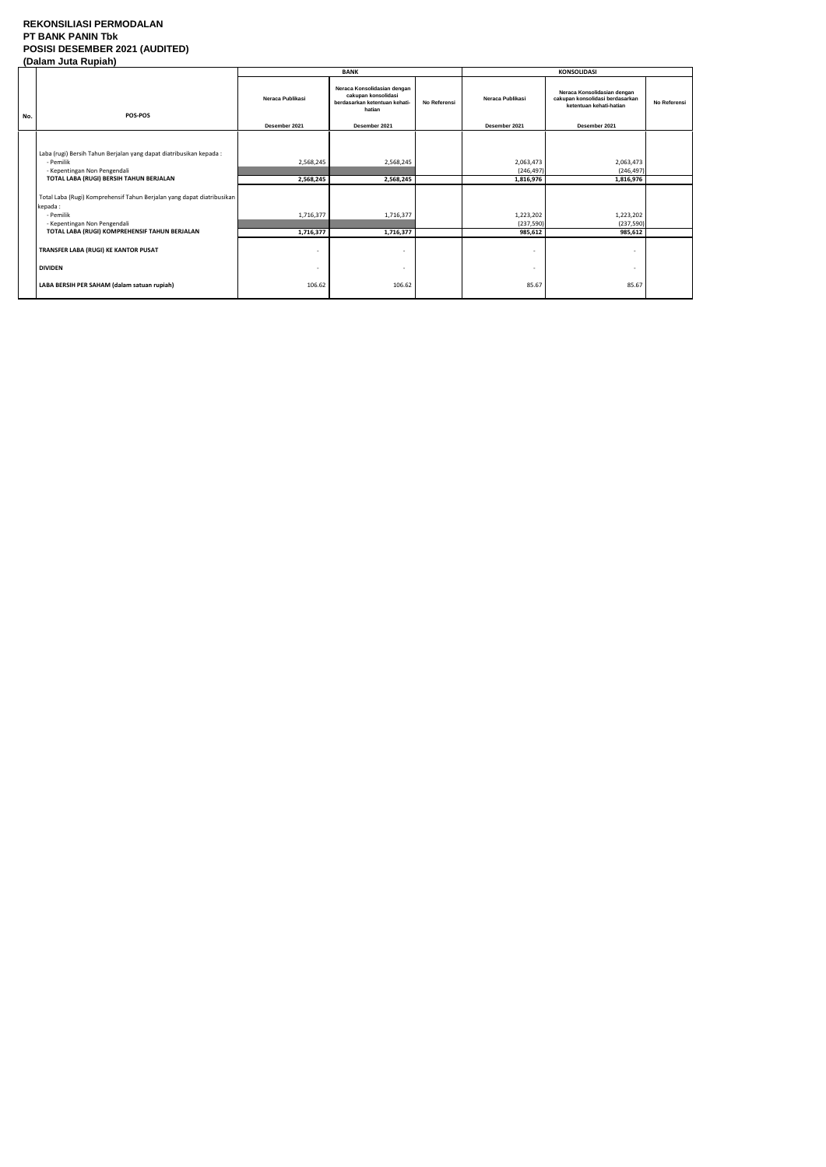### **REKONSILIASI PERMODALAN PT BANK PANIN Tbk POSISI DESEMBER 2021 (AUDITED) (Dalam Juta Rupiah)**

|     | $\mathbf{r}$                                                                                                                   |                                   | <b>BANK</b>                                                                                                    |                     | <b>KONSOLIDASI</b>                |                                                                                                            |              |  |
|-----|--------------------------------------------------------------------------------------------------------------------------------|-----------------------------------|----------------------------------------------------------------------------------------------------------------|---------------------|-----------------------------------|------------------------------------------------------------------------------------------------------------|--------------|--|
| No. | <b>POS-POS</b>                                                                                                                 | Neraca Publikasi<br>Desember 2021 | Neraca Konsolidasian dengan<br>cakupan konsolidasi<br>berdasarkan ketentuan kehati-<br>hatian<br>Desember 2021 | <b>No Referensi</b> | Neraca Publikasi<br>Desember 2021 | Neraca Konsolidasian dengan<br>cakupan konsolidasi berdasarkan<br>ketentuan kehati-hatian<br>Desember 2021 | No Referensi |  |
|     |                                                                                                                                |                                   |                                                                                                                |                     |                                   |                                                                                                            |              |  |
|     | Laba (rugi) Bersih Tahun Berjalan yang dapat diatribusikan kepada:<br>- Pemilik<br>- Kepentingan Non Pengendali                | 2,568,245                         | 2,568,245                                                                                                      |                     | 2,063,473<br>(246, 497)           | 2,063,473<br>(246, 497)                                                                                    |              |  |
|     | TOTAL LABA (RUGI) BERSIH TAHUN BERJALAN                                                                                        | 2,568,245                         | 2,568,245                                                                                                      |                     | 1,816,976                         | 1,816,976                                                                                                  |              |  |
|     | Total Laba (Rugi) Komprehensif Tahun Berjalan yang dapat diatribusikan<br>kepada:<br>- Pemilik<br>- Kepentingan Non Pengendali | 1,716,377                         | 1,716,377                                                                                                      |                     | 1,223,202<br>(237, 590)           | 1,223,202<br>(237, 590)                                                                                    |              |  |
|     | TOTAL LABA (RUGI) KOMPREHENSIF TAHUN BERJALAN                                                                                  | 1,716,377                         | 1,716,377                                                                                                      |                     | 985,612                           | 985,612                                                                                                    |              |  |
|     | TRANSFER LABA (RUGI) KE KANTOR PUSAT                                                                                           | ٠                                 | ٠                                                                                                              |                     |                                   | $\overline{\phantom{0}}$                                                                                   |              |  |
|     | <b>DIVIDEN</b>                                                                                                                 |                                   | ٠                                                                                                              |                     |                                   |                                                                                                            |              |  |
|     | LABA BERSIH PER SAHAM (dalam satuan rupiah)                                                                                    | 106.62                            | 106.62                                                                                                         |                     | 85.67                             | 85.67                                                                                                      |              |  |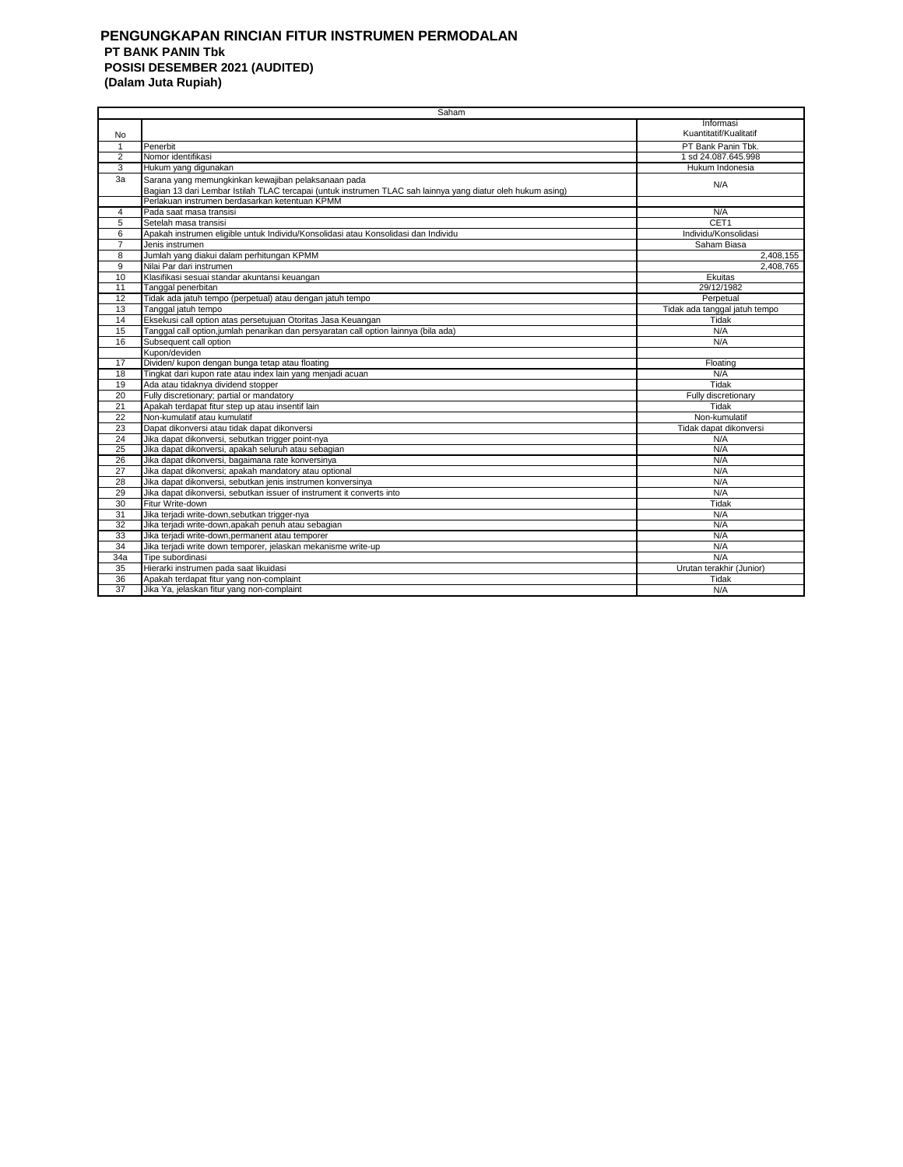#### **PENGUNGKAPAN RINCIAN FITUR INSTRUMEN PERMODALAN PT BANK PANIN Tbk POSISI DESEMBER 2021 (AUDITED) (Dalam Juta Rupiah)**

|                | Saham                                                                                                       |                               |
|----------------|-------------------------------------------------------------------------------------------------------------|-------------------------------|
|                |                                                                                                             | Informasi                     |
| No             |                                                                                                             | Kuantitatif/Kualitatif        |
| $\mathbf{1}$   | Penerbit                                                                                                    | PT Bank Panin Tbk.            |
| $\overline{2}$ | Nomor identifikasi                                                                                          | 1 sd 24.087.645.998           |
| 3              | Hukum yang digunakan                                                                                        | Hukum Indonesia               |
| 3a             | Sarana yang memungkinkan kewajiban pelaksanaan pada                                                         |                               |
|                | Bagian 13 dari Lembar Istilah TLAC tercapai (untuk instrumen TLAC sah lainnya yang diatur oleh hukum asing) | N/A                           |
|                | Perlakuan instrumen berdasarkan ketentuan KPMM                                                              |                               |
| $\overline{4}$ | Pada saat masa transisi                                                                                     | N/A                           |
| 5              | Setelah masa transisi                                                                                       | CET1                          |
| 6              | Apakah instrumen eligible untuk Individu/Konsolidasi atau Konsolidasi dan Individu                          | Individu/Konsolidasi          |
| $\overline{7}$ | Jenis instrumen                                                                                             | Saham Biasa                   |
| 8              | Jumlah yang diakui dalam perhitungan KPMM                                                                   | 2,408,155                     |
| 9              | Nilai Par dari instrumen                                                                                    | 2.408.765                     |
| 10             | Klasifikasi sesuai standar akuntansi keuangan                                                               | Ekuitas                       |
| 11             | Tanggal penerbitan                                                                                          | 29/12/1982                    |
| 12             | Tidak ada jatuh tempo (perpetual) atau dengan jatuh tempo                                                   | Perpetual                     |
| 13             | Tanggal jatuh tempo                                                                                         | Tidak ada tanggal jatuh tempo |
| 14             | Eksekusi call option atas persetujuan Otoritas Jasa Keuangan                                                | Tidak                         |
| 15             | Tanggal call option, jumlah penarikan dan persyaratan call option lainnya (bila ada)                        | N/A                           |
| 16             | Subsequent call option                                                                                      | N/A                           |
|                | Kupon/deviden                                                                                               |                               |
| 17             | Dividen/ kupon dengan bunga tetap atau floating                                                             | Floating                      |
| 18             | Tingkat dari kupon rate atau index lain yang menjadi acuan                                                  | N/A                           |
| 19             | Ada atau tidaknya dividend stopper                                                                          | Tidak                         |
| 20             | Fully discretionary; partial or mandatory                                                                   | Fully discretionary           |
| 21             | Apakah terdapat fitur step up atau insentif lain                                                            | Tidak                         |
| 22             | Non-kumulatif atau kumulatif                                                                                | Non-kumulatif                 |
| 23             | Dapat dikonversi atau tidak dapat dikonversi                                                                | Tidak dapat dikonversi        |
| 24             | Jika dapat dikonversi, sebutkan trigger point-nya                                                           | N/A                           |
| 25             | Jika dapat dikonversi, apakah seluruh atau sebagian                                                         | N/A                           |
| 26             | Jika dapat dikonversi, bagaimana rate konversinya                                                           | N/A                           |
| 27             | Jika dapat dikonversi; apakah mandatory atau optional                                                       | N/A                           |
| 28             | Jika dapat dikonversi, sebutkan jenis instrumen konversinya                                                 | N/A                           |
| 29             | Jika dapat dikonversi, sebutkan issuer of instrument it converts into                                       | N/A                           |
| 30             | Fitur Write-down                                                                                            | Tidak                         |
| 31             | Jika terjadi write-down, sebutkan trigger-nya                                                               | N/A                           |
| 32             | Jika terjadi write-down, apakah penuh atau sebagian                                                         | N/A                           |
| 33             | Jika terjadi write-down, permanent atau temporer                                                            | N/A                           |
| 34             | Jika terjadi write down temporer, jelaskan mekanisme write-up                                               | N/A                           |
| 34a            | Tipe subordinasi                                                                                            | N/A                           |
| 35             | Hierarki instrumen pada saat likuidasi                                                                      | Urutan terakhir (Junior)      |
| 36             | Apakah terdapat fitur yang non-complaint                                                                    | Tidak                         |
| 37             | Jika Ya, jelaskan fitur yang non-complaint                                                                  | N/A                           |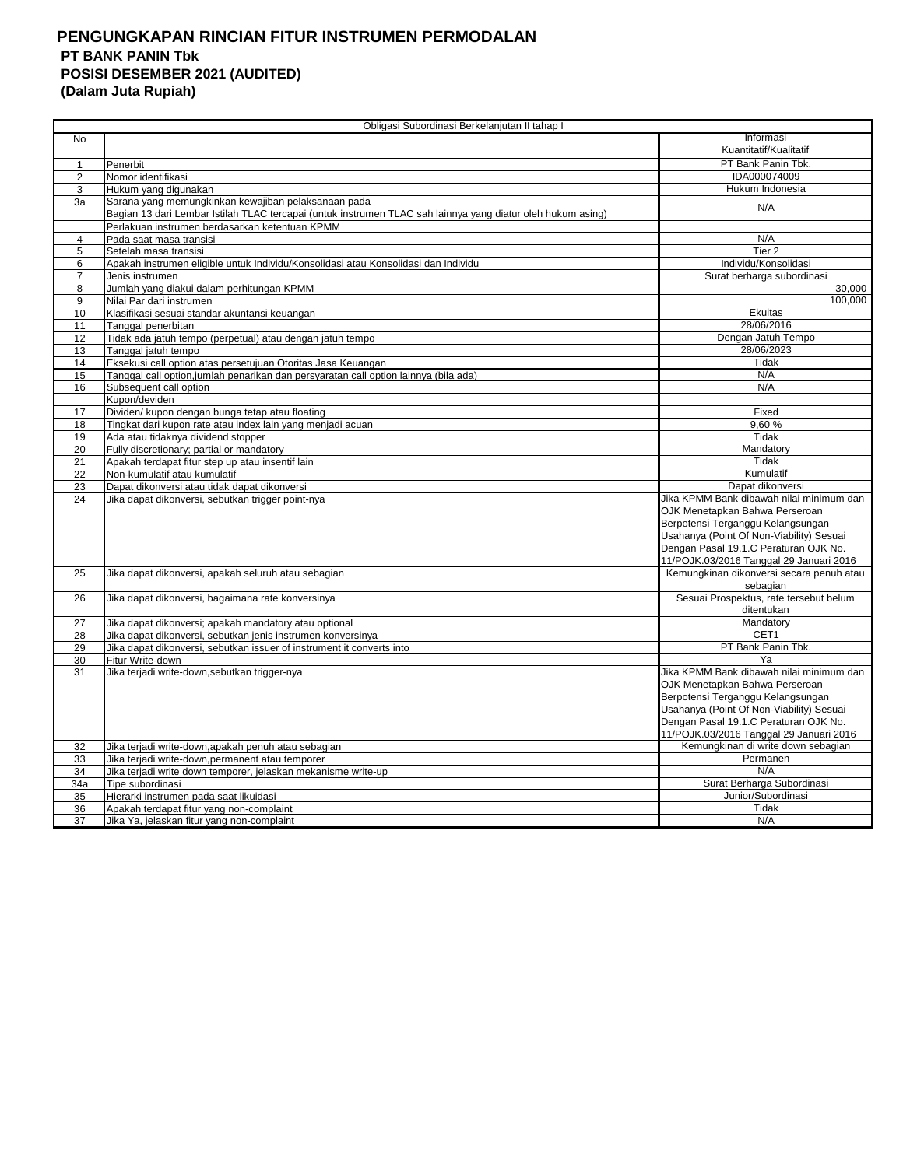# **PENGUNGKAPAN RINCIAN FITUR INSTRUMEN PERMODALAN PT BANK PANIN Tbk POSISI DESEMBER 2021 (AUDITED)**

**(Dalam Juta Rupiah)**

|                | Obligasi Subordinasi Berkelanjutan II tahap I                                                               |                                                                     |
|----------------|-------------------------------------------------------------------------------------------------------------|---------------------------------------------------------------------|
| No             |                                                                                                             | Informasi                                                           |
|                |                                                                                                             | Kuantitatif/Kualitatif                                              |
| $\mathbf{1}$   | Penerbit                                                                                                    | PT Bank Panin Tbk.                                                  |
| $\overline{2}$ | Nomor identifikasi                                                                                          | IDA000074009                                                        |
| 3              | Hukum yang digunakan                                                                                        | Hukum Indonesia                                                     |
| 3a             | Sarana yang memungkinkan kewajiban pelaksanaan pada                                                         | N/A                                                                 |
|                | Bagian 13 dari Lembar Istilah TLAC tercapai (untuk instrumen TLAC sah lainnya yang diatur oleh hukum asing) |                                                                     |
|                | Perlakuan instrumen berdasarkan ketentuan KPMM                                                              |                                                                     |
| $\overline{4}$ | Pada saat masa transisi                                                                                     | N/A                                                                 |
| 5              | Setelah masa transisi                                                                                       | Tier <sub>2</sub>                                                   |
| 6              | Apakah instrumen eligible untuk Individu/Konsolidasi atau Konsolidasi dan Individu                          | Individu/Konsolidasi                                                |
| $\overline{7}$ | Jenis instrumen                                                                                             | Surat berharga subordinasi                                          |
| 8              | Jumlah yang diakui dalam perhitungan KPMM                                                                   | 30,000                                                              |
| 9              | Nilai Par dari instrumen                                                                                    | 100.000                                                             |
| 10             | Klasifikasi sesuai standar akuntansi keuangan                                                               | Ekuitas                                                             |
| 11             | Tanggal penerbitan                                                                                          | 28/06/2016                                                          |
| 12             | Tidak ada jatuh tempo (perpetual) atau dengan jatuh tempo                                                   | Dengan Jatuh Tempo                                                  |
| 13             | Tanggal jatuh tempo                                                                                         | 28/06/2023                                                          |
| 14             | Eksekusi call option atas persetujuan Otoritas Jasa Keuangan                                                | Tidak                                                               |
| 15             | Tanggal call option, jumlah penarikan dan persyaratan call option lainnya (bila ada)                        | N/A                                                                 |
| 16             | Subsequent call option                                                                                      | N/A                                                                 |
|                | Kupon/deviden                                                                                               |                                                                     |
| 17             | Dividen/ kupon dengan bunga tetap atau floating                                                             | Fixed                                                               |
| 18             | Tingkat dari kupon rate atau index lain yang menjadi acuan                                                  | 9,60%                                                               |
| 19             | Ada atau tidaknya dividend stopper                                                                          | Tidak                                                               |
| 20             | Fully discretionary; partial or mandatory                                                                   | Mandatory                                                           |
| 21             | Apakah terdapat fitur step up atau insentif lain                                                            | Tidak                                                               |
| 22             | Non-kumulatif atau kumulatif                                                                                | Kumulatif                                                           |
| 23             | Dapat dikonversi atau tidak dapat dikonversi                                                                | Dapat dikonversi<br>Jika KPMM Bank dibawah nilai minimum dan        |
| 24             | Jika dapat dikonversi, sebutkan trigger point-nya                                                           |                                                                     |
|                |                                                                                                             | OJK Menetapkan Bahwa Perseroan<br>Berpotensi Terganggu Kelangsungan |
|                |                                                                                                             | Usahanya (Point Of Non-Viability) Sesuai                            |
|                |                                                                                                             | Dengan Pasal 19.1.C Peraturan OJK No.                               |
|                |                                                                                                             | 11/POJK.03/2016 Tanggal 29 Januari 2016                             |
| 25             | Jika dapat dikonversi, apakah seluruh atau sebagian                                                         | Kemungkinan dikonversi secara penuh atau                            |
|                |                                                                                                             | sebagian                                                            |
| 26             | Jika dapat dikonversi, bagaimana rate konversinya                                                           | Sesuai Prospektus, rate tersebut belum                              |
|                |                                                                                                             | ditentukan                                                          |
| 27             | Jika dapat dikonversi; apakah mandatory atau optional                                                       | Mandatory                                                           |
| 28             | Jika dapat dikonversi, sebutkan jenis instrumen konversinya                                                 | CET1                                                                |
| 29             | Jika dapat dikonversi, sebutkan issuer of instrument it converts into                                       | PT Bank Panin Tbk.                                                  |
| 30             | Fitur Write-down                                                                                            | Ya                                                                  |
| 31             | Jika terjadi write-down, sebutkan trigger-nya                                                               | Jika KPMM Bank dibawah nilai minimum dan                            |
|                |                                                                                                             | OJK Menetapkan Bahwa Perseroan                                      |
|                |                                                                                                             | Berpotensi Terganggu Kelangsungan                                   |
|                |                                                                                                             | Usahanya (Point Of Non-Viability) Sesuai                            |
|                |                                                                                                             | Dengan Pasal 19.1.C Peraturan OJK No.                               |
|                |                                                                                                             | 11/POJK.03/2016 Tanggal 29 Januari 2016                             |
| 32             | Jika terjadi write-down,apakah penuh atau sebagian                                                          | Kemungkinan di write down sebagian                                  |
| 33             | Jika terjadi write-down, permanent atau temporer                                                            | Permanen                                                            |
| 34             | Jika terjadi write down temporer, jelaskan mekanisme write-up                                               | N/A                                                                 |
| 34a            | Tipe subordinasi                                                                                            | Surat Berharga Subordinasi                                          |
| 35             | Hierarki instrumen pada saat likuidasi                                                                      | Junior/Subordinasi                                                  |
| 36             | Apakah terdapat fitur yang non-complaint                                                                    | Tidak                                                               |
| 37             | Jika Ya, jelaskan fitur yang non-complaint                                                                  | N/A                                                                 |
|                |                                                                                                             |                                                                     |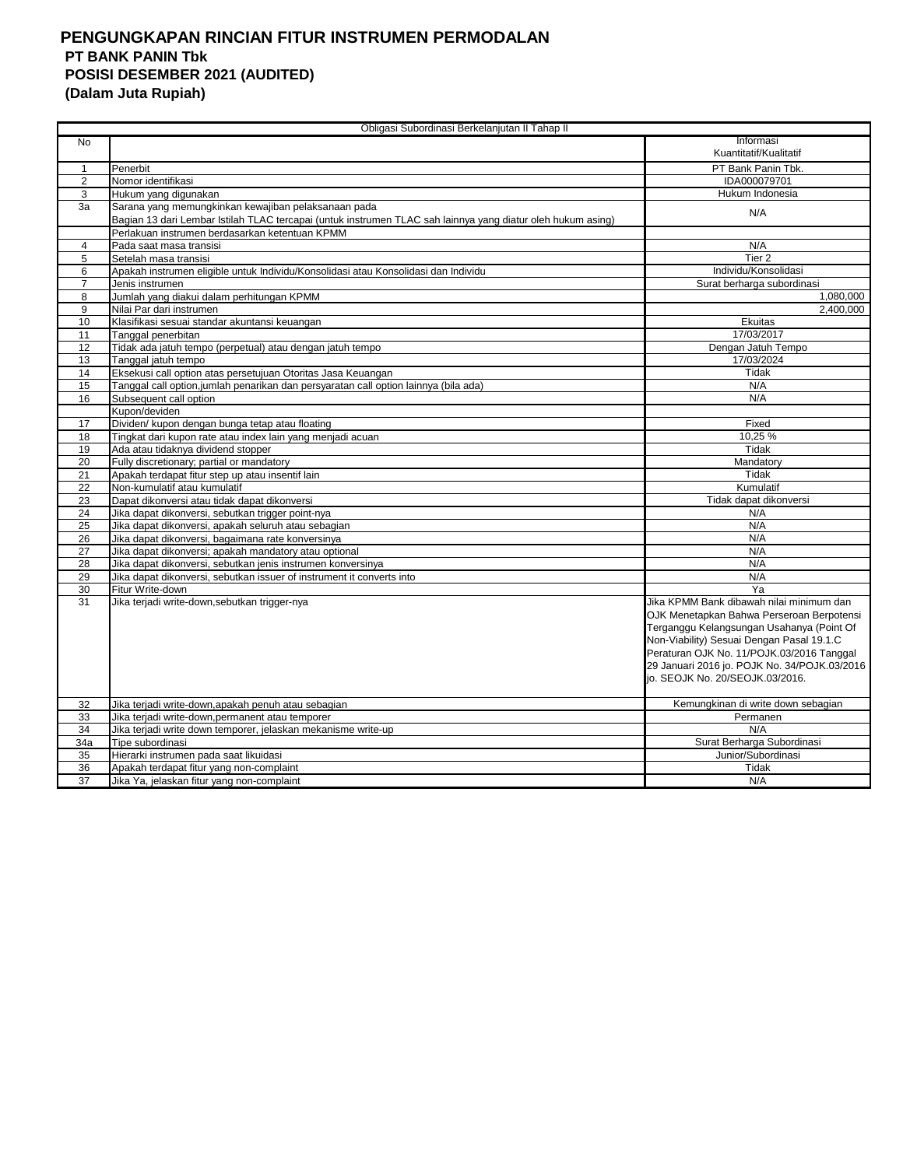## **PENGUNGKAPAN RINCIAN FITUR INSTRUMEN PERMODALAN PT BANK PANIN Tbk POSISI DESEMBER 2021 (AUDITED) (Dalam Juta Rupiah)**

|                | Obligasi Subordinasi Berkelanjutan II Tahap II                                                              |                                                                                        |
|----------------|-------------------------------------------------------------------------------------------------------------|----------------------------------------------------------------------------------------|
| N <sub>0</sub> |                                                                                                             | Informasi                                                                              |
|                |                                                                                                             | Kuantitatif/Kualitatif                                                                 |
| $\mathbf{1}$   | Penerbit                                                                                                    | PT Bank Panin Tbk.                                                                     |
| 2              | Nomor identifikasi                                                                                          | IDA000079701                                                                           |
| 3              | Hukum yang digunakan                                                                                        | Hukum Indonesia                                                                        |
| 3a             | Sarana yang memungkinkan kewajiban pelaksanaan pada                                                         |                                                                                        |
|                | Bagian 13 dari Lembar Istilah TLAC tercapai (untuk instrumen TLAC sah lainnya yang diatur oleh hukum asing) | N/A                                                                                    |
|                | Perlakuan instrumen berdasarkan ketentuan KPMM                                                              |                                                                                        |
| 4              | Pada saat masa transisi                                                                                     | N/A                                                                                    |
| 5              | Setelah masa transisi                                                                                       | Tier <sub>2</sub>                                                                      |
| 6              | Apakah instrumen eligible untuk Individu/Konsolidasi atau Konsolidasi dan Individu                          | Individu/Konsolidasi                                                                   |
| $\overline{7}$ | Jenis instrumen                                                                                             | Surat berharga subordinasi                                                             |
| 8              | Jumlah yang diakui dalam perhitungan KPMM                                                                   | 1,080,000                                                                              |
| 9              | Nilai Par dari instrumen                                                                                    | 2,400,000                                                                              |
| 10             | Klasifikasi sesuai standar akuntansi keuangan                                                               | Ekuitas                                                                                |
| 11             | <b>Tanggal penerbitan</b>                                                                                   | 17/03/2017                                                                             |
| 12             | Tidak ada jatuh tempo (perpetual) atau dengan jatuh tempo                                                   | Dengan Jatuh Tempo                                                                     |
| 13             | Tanggal jatuh tempo                                                                                         | 17/03/2024                                                                             |
| 14             | Eksekusi call option atas persetujuan Otoritas Jasa Keuangan                                                | Tidak                                                                                  |
| 15             | Tanggal call option,jumlah penarikan dan persyaratan call option lainnya (bila ada)                         | N/A                                                                                    |
| 16             | Subsequent call option                                                                                      | N/A                                                                                    |
|                | Kupon/deviden                                                                                               |                                                                                        |
| 17             | Dividen/ kupon dengan bunga tetap atau floating                                                             | Fixed                                                                                  |
| 18             | Tingkat dari kupon rate atau index lain yang menjadi acuan                                                  | 10,25 %                                                                                |
| 19             | Ada atau tidaknya dividend stopper                                                                          | Tidak                                                                                  |
| 20             | Fully discretionary; partial or mandatory                                                                   | Mandatory                                                                              |
| 21             | Apakah terdapat fitur step up atau insentif lain                                                            | Tidak                                                                                  |
| 22             | Non-kumulatif atau kumulatif                                                                                | Kumulatif                                                                              |
| 23             | Dapat dikonversi atau tidak dapat dikonversi                                                                | Tidak dapat dikonversi                                                                 |
| 24             | Jika dapat dikonversi, sebutkan trigger point-nya                                                           | N/A                                                                                    |
| 25             | Jika dapat dikonversi, apakah seluruh atau sebagian                                                         | N/A                                                                                    |
| 26             | Jika dapat dikonversi, bagaimana rate konversinya                                                           | N/A                                                                                    |
| 27             | Jika dapat dikonversi; apakah mandatory atau optional                                                       | N/A                                                                                    |
| 28             | Jika dapat dikonversi, sebutkan jenis instrumen konversinya                                                 | N/A<br>N/A                                                                             |
| 29             | Jika dapat dikonversi, sebutkan issuer of instrument it converts into                                       | Ya                                                                                     |
| 30             | Fitur Write-down                                                                                            | Jika KPMM Bank dibawah nilai minimum dan                                               |
| 31             | Jika terjadi write-down, sebutkan trigger-nya                                                               |                                                                                        |
|                |                                                                                                             | OJK Menetapkan Bahwa Perseroan Berpotensi<br>Terganggu Kelangsungan Usahanya (Point Of |
|                |                                                                                                             | Non-Viability) Sesuai Dengan Pasal 19.1.C                                              |
|                |                                                                                                             | Peraturan OJK No. 11/POJK.03/2016 Tanggal                                              |
|                |                                                                                                             | 29 Januari 2016 jo. POJK No. 34/POJK.03/2016                                           |
|                |                                                                                                             | jo. SEOJK No. 20/SEOJK.03/2016.                                                        |
|                |                                                                                                             |                                                                                        |
| 32             | Jika terjadi write-down,apakah penuh atau sebagian                                                          | Kemungkinan di write down sebagian                                                     |
| 33             | Jika terjadi write-down, permanent atau temporer                                                            | Permanen                                                                               |
| 34             | Jika terjadi write down temporer, jelaskan mekanisme write-up                                               | N/A                                                                                    |
| 34a            | Tipe subordinasi                                                                                            | Surat Berharga Subordinasi                                                             |
| 35             | Hierarki instrumen pada saat likuidasi                                                                      | Junior/Subordinasi                                                                     |
| 36             | Apakah terdapat fitur yang non-complaint                                                                    | Tidak                                                                                  |
| 37             | Jika Ya, jelaskan fitur yang non-complaint                                                                  | N/A                                                                                    |